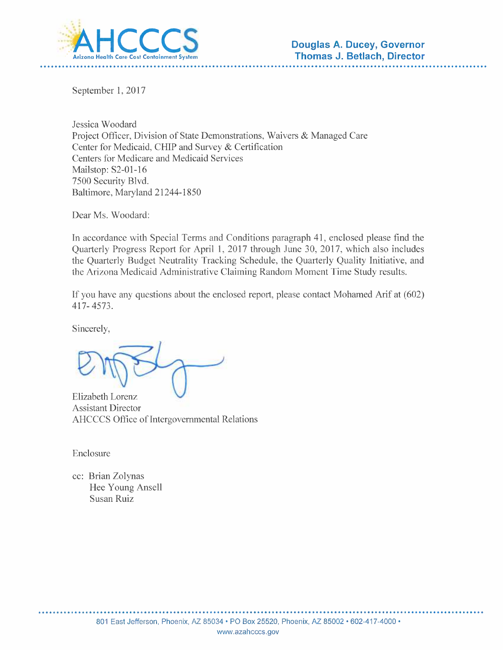

September 1, 2017

Jessica Woodard Project Officer, Division of State Demonstrations, Waivers & Managed Care Center for Medicaid, CHIP and Survey & Certification Centers for Medicare and Medicaid Services Mailstop: S2-01-16 7500 Security Blvd. Baltimore, Maryland 21244-1850

Dear Ms. Woodard:

In accordance with Special Terms and Conditions paragraph 41, enclosed please find the Quarterly Progress Report for April 1, 2017 through June 30, 2017, which also includes the Quarterly Budget Neutrality Tracking Schedule, the Quarterly Quality Initiative, and the Arizona Medicaid Administrative Claiming Random Moment Time Study results.

If you have any questions about the enclosed report, please contact Mohamed Arif at (602) 417-4573.

Sincerely,

Elizabeth Lorenz **Assistant Director** AHCCCS Office of Intergovernmental Relations

Enclosure

cc: Brian Zolynas Hee Young Ansell Susan Ruiz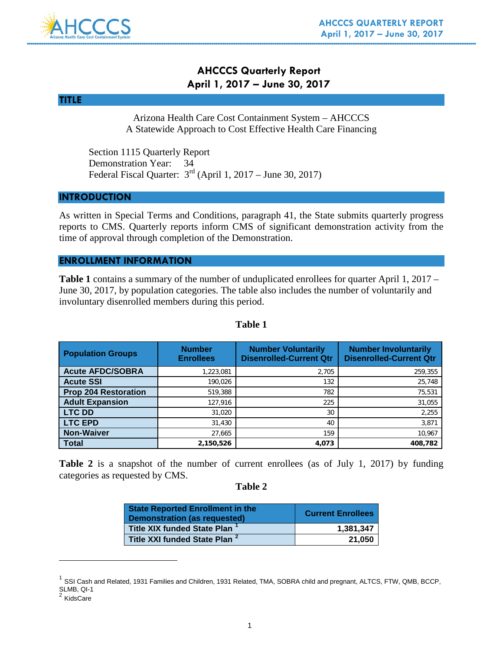

# **AHCCCS Quarterly Report April 1, 2017 – June 30, 2017**

# **TITLE**

Arizona Health Care Cost Containment System – AHCCCS A Statewide Approach to Cost Effective Health Care Financing

Section 1115 Quarterly Report Demonstration Year: 34 Federal Fiscal Quarter: 3rd (April 1, 2017 – June 30, 2017)

### **INTRODUCTION**

As written in Special Terms and Conditions, paragraph 41, the State submits quarterly progress reports to CMS. Quarterly reports inform CMS of significant demonstration activity from the time of approval through completion of the Demonstration.

# **ENROLLMENT INFORMATION**

**Table 1** contains a summary of the number of unduplicated enrollees for quarter April 1, 2017 – June 30, 2017, by population categories. The table also includes the number of voluntarily and involuntary disenrolled members during this period.

| <b>Population Groups</b>    | <b>Number</b><br><b>Enrollees</b> | <b>Number Voluntarily</b><br><b>Disenrolled-Current Qtr</b> | <b>Number Involuntarily</b><br><b>Disenrolled-Current Qtr</b> |
|-----------------------------|-----------------------------------|-------------------------------------------------------------|---------------------------------------------------------------|
| <b>Acute AFDC/SOBRA</b>     | 1,223,081                         | 2,705                                                       | 259,355                                                       |
| <b>Acute SSI</b>            | 190,026                           | 132                                                         | 25,748                                                        |
| <b>Prop 204 Restoration</b> | 519,388                           | 782                                                         | 75,531                                                        |
| <b>Adult Expansion</b>      | 127,916                           | 225                                                         | 31,055                                                        |
| <b>LTC DD</b>               | 31,020                            | 30                                                          | 2,255                                                         |
| <b>LTC EPD</b>              | 31,430                            | 40                                                          | 3,871                                                         |
| <b>Non-Waiver</b>           | 27,665                            | 159                                                         | 10,967                                                        |
| <b>Total</b>                | 2,150,526                         | 4,073                                                       | 408,782                                                       |

# **Table 1**

**Table 2** is a snapshot of the number of current enrollees (as of July 1, 2017) by funding categories as requested by CMS.

### **Table 2**

| <b>State Reported Enrollment in the</b><br><b>Demonstration (as requested)</b> | <b>Current Enrollees</b> |
|--------------------------------------------------------------------------------|--------------------------|
| <b>Title XIX funded State Plan</b>                                             | 1,381,347                |
| Title XXI funded State Plan <sup>2</sup>                                       | 21.050                   |

<span id="page-1-0"></span> $1$  SSI Cash and Related, 1931 Families and Children, 1931 Related, TMA, SOBRA child and pregnant, ALTCS, FTW, QMB, BCCP, SLMB, QI-1

 $\overline{a}$ 

<span id="page-1-1"></span>**KidsCare**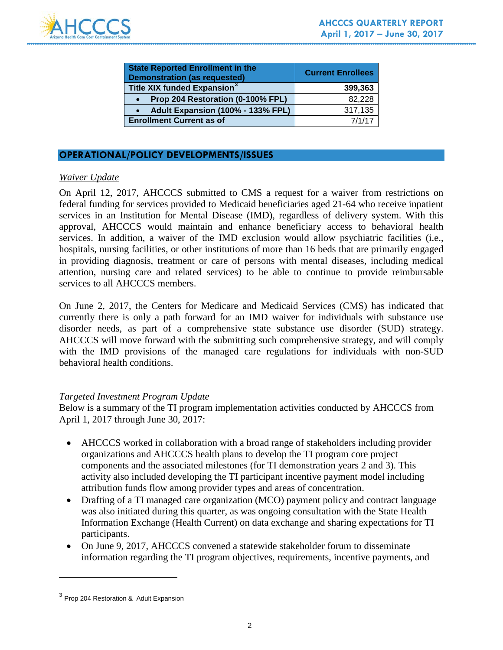

| <b>State Reported Enrollment in the</b><br><b>Demonstration (as requested)</b> | <b>Current Enrollees</b> |
|--------------------------------------------------------------------------------|--------------------------|
| Title XIX funded Expansion <sup>3</sup>                                        | 399,363                  |
| Prop 204 Restoration (0-100% FPL)                                              | 82,228                   |
| Adult Expansion (100% - 133% FPL)                                              | 317,135                  |
| <b>Enrollment Current as of</b>                                                | 7/1/17                   |

# **OPERATIONAL/POLICY DEVELOPMENTS/ISSUES**

# *Waiver Update*

On April 12, 2017, AHCCCS submitted to CMS a request for a waiver from restrictions on federal funding for services provided to Medicaid beneficiaries aged 21-64 who receive inpatient services in an Institution for Mental Disease (IMD), regardless of delivery system. With this approval, AHCCCS would maintain and enhance beneficiary access to behavioral health services. In addition, a waiver of the IMD exclusion would allow psychiatric facilities (i.e., hospitals, nursing facilities, or other institutions of more than 16 beds that are primarily engaged in providing diagnosis, treatment or care of persons with mental diseases, including medical attention, nursing care and related services) to be able to continue to provide reimbursable services to all AHCCCS members.

On June 2, 2017, the Centers for Medicare and Medicaid Services (CMS) has indicated that currently there is only a path forward for an IMD waiver for individuals with substance use disorder needs, as part of a comprehensive state substance use disorder (SUD) strategy. AHCCCS will move forward with the submitting such comprehensive strategy, and will comply with the IMD provisions of the managed care regulations for individuals with non-SUD behavioral health conditions.

# *Targeted Investment Program Update*

Below is a summary of the TI program implementation activities conducted by AHCCCS from April 1, 2017 through June 30, 2017:

- AHCCCS worked in collaboration with a broad range of stakeholders including provider organizations and AHCCCS health plans to develop the TI program core project components and the associated milestones (for TI demonstration years 2 and 3). This activity also included developing the TI participant incentive payment model including attribution funds flow among provider types and areas of concentration.
- Drafting of a TI managed care organization (MCO) payment policy and contract language was also initiated during this quarter, as was ongoing consultation with the State Health Information Exchange (Health Current) on data exchange and sharing expectations for TI participants.
- On June 9, 2017, AHCCCS convened a statewide stakeholder forum to disseminate information regarding the TI program objectives, requirements, incentive payments, and

 $\overline{a}$ 

<span id="page-2-0"></span><sup>3</sup> Prop 204 Restoration & Adult Expansion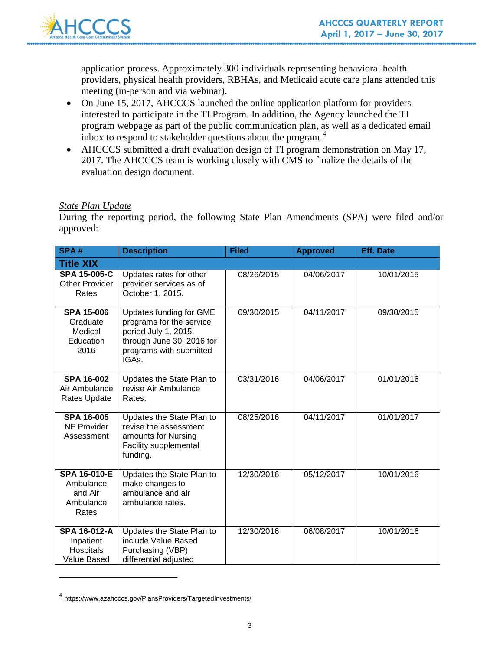

application process. Approximately 300 individuals representing behavioral health providers, physical health providers, RBHAs, and Medicaid acute care plans attended this meeting (in-person and via webinar).

- On June 15, 2017, AHCCCS launched the online application platform for providers interested to participate in the TI Program. In addition, the Agency launched the TI program webpage as part of the public communication plan, as well as a dedicated email inbox to respond to stakeholder questions about the program.<sup>[4](#page-3-0)</sup>
- AHCCCS submitted a draft evaluation design of TI program demonstration on May 17, 2017. The AHCCCS team is working closely with CMS to finalize the details of the evaluation design document.

# *State Plan Update*

During the reporting period, the following State Plan Amendments (SPA) were filed and/or approved:

| SPA#                                                              | <b>Description</b>                                                                                                                                        | <b>Filed</b> | <b>Approved</b> | <b>Eff. Date</b> |
|-------------------------------------------------------------------|-----------------------------------------------------------------------------------------------------------------------------------------------------------|--------------|-----------------|------------------|
| <b>Title XIX</b>                                                  |                                                                                                                                                           |              |                 |                  |
| <b>SPA 15-005-C</b><br><b>Other Provider</b><br>Rates             | Updates rates for other<br>provider services as of<br>October 1, 2015.                                                                                    | 08/26/2015   | 04/06/2017      | 10/01/2015       |
| <b>SPA 15-006</b><br>Graduate<br>Medical<br>Education<br>2016     | Updates funding for GME<br>programs for the service<br>period July 1, 2015,<br>through June 30, 2016 for<br>programs with submitted<br>IGA <sub>s</sub> . | 09/30/2015   | 04/11/2017      | 09/30/2015       |
| <b>SPA 16-002</b><br>Air Ambulance<br>Rates Update                | Updates the State Plan to<br>revise Air Ambulance<br>Rates.                                                                                               | 03/31/2016   | 04/06/2017      | 01/01/2016       |
| <b>SPA 16-005</b><br>NF Provider<br>Assessment                    | Updates the State Plan to<br>revise the assessment<br>amounts for Nursing<br>Facility supplemental<br>funding.                                            | 08/25/2016   | 04/11/2017      | 01/01/2017       |
| <b>SPA 16-010-E</b><br>Ambulance<br>and Air<br>Ambulance<br>Rates | Updates the State Plan to<br>make changes to<br>ambulance and air<br>ambulance rates.                                                                     | 12/30/2016   | 05/12/2017      | 10/01/2016       |
| <b>SPA 16-012-A</b><br>Inpatient<br>Hospitals<br>Value Based      | Updates the State Plan to<br>include Value Based<br>Purchasing (VBP)<br>differential adjusted                                                             | 12/30/2016   | 06/08/2017      | 10/01/2016       |

<span id="page-3-0"></span><sup>4</sup> https://www.azahcccs.gov/PlansProviders/TargetedInvestments/

 $\overline{a}$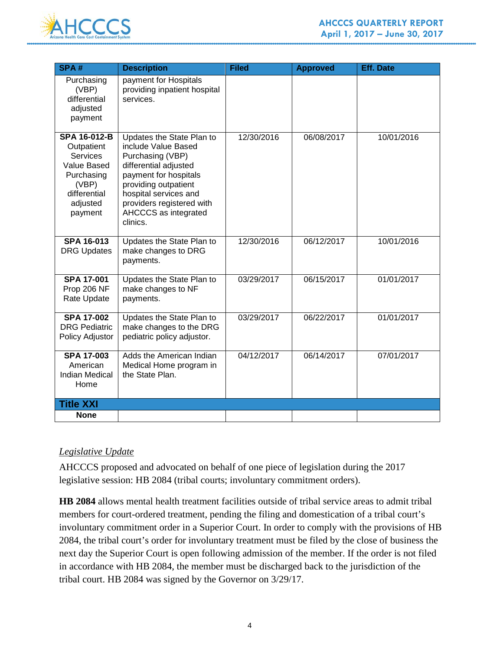

| SPA#                                                                                                                              | <b>Description</b>                                                                                                                                                                                                                       | <b>Filed</b> | <b>Approved</b> | <b>Eff. Date</b> |
|-----------------------------------------------------------------------------------------------------------------------------------|------------------------------------------------------------------------------------------------------------------------------------------------------------------------------------------------------------------------------------------|--------------|-----------------|------------------|
| Purchasing<br>(VBP)<br>differential<br>adjusted<br>payment                                                                        | payment for Hospitals<br>providing inpatient hospital<br>services.                                                                                                                                                                       |              |                 |                  |
| <b>SPA 16-012-B</b><br>Outpatient<br><b>Services</b><br>Value Based<br>Purchasing<br>(VBP)<br>differential<br>adjusted<br>payment | Updates the State Plan to<br>include Value Based<br>Purchasing (VBP)<br>differential adjusted<br>payment for hospitals<br>providing outpatient<br>hospital services and<br>providers registered with<br>AHCCCS as integrated<br>clinics. | 12/30/2016   | 06/08/2017      | 10/01/2016       |
| <b>SPA 16-013</b><br><b>DRG Updates</b>                                                                                           | Updates the State Plan to<br>make changes to DRG<br>payments.                                                                                                                                                                            | 12/30/2016   | 06/12/2017      | 10/01/2016       |
| <b>SPA 17-001</b><br>Prop 206 NF<br><b>Rate Update</b>                                                                            | Updates the State Plan to<br>make changes to NF<br>payments.                                                                                                                                                                             | 03/29/2017   | 06/15/2017      | 01/01/2017       |
| <b>SPA 17-002</b><br><b>DRG Pediatric</b><br>Policy Adjustor                                                                      | Updates the State Plan to<br>make changes to the DRG<br>pediatric policy adjustor.                                                                                                                                                       | 03/29/2017   | 06/22/2017      | 01/01/2017       |
| <b>SPA 17-003</b><br>American<br><b>Indian Medical</b><br>Home                                                                    | Adds the American Indian<br>Medical Home program in<br>the State Plan.                                                                                                                                                                   | 04/12/2017   | 06/14/2017      | 07/01/2017       |
| <b>Title XXI</b>                                                                                                                  |                                                                                                                                                                                                                                          |              |                 |                  |
| <b>None</b>                                                                                                                       |                                                                                                                                                                                                                                          |              |                 |                  |

# *Legislative Update*

AHCCCS proposed and advocated on behalf of one piece of legislation during the 2017 legislative session: HB 2084 (tribal courts; involuntary commitment orders).

**HB 2084** allows mental health treatment facilities outside of tribal service areas to admit tribal members for court-ordered treatment, pending the filing and domestication of a tribal court's involuntary commitment order in a Superior Court. In order to comply with the provisions of HB 2084, the tribal court's order for involuntary treatment must be filed by the close of business the next day the Superior Court is open following admission of the member. If the order is not filed in accordance with HB 2084, the member must be discharged back to the jurisdiction of the tribal court. HB 2084 was signed by the Governor on 3/29/17.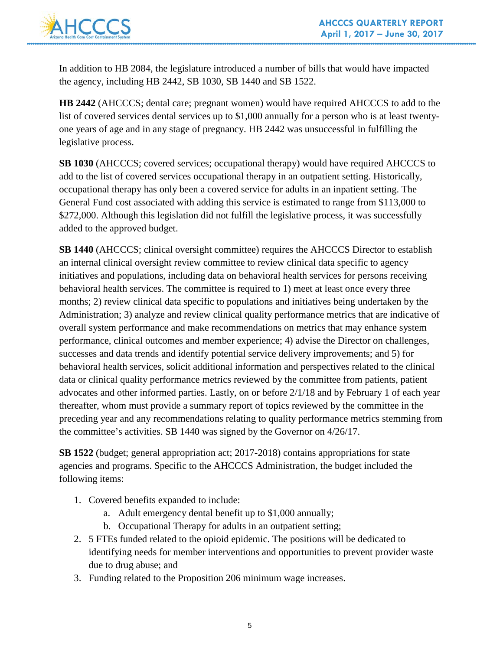

In addition to HB 2084, the legislature introduced a number of bills that would have impacted the agency, including HB 2442, SB 1030, SB 1440 and SB 1522.

**HB 2442** (AHCCCS; dental care; pregnant women) would have required AHCCCS to add to the list of covered services dental services up to \$1,000 annually for a person who is at least twentyone years of age and in any stage of pregnancy. HB 2442 was unsuccessful in fulfilling the legislative process.

**SB 1030** (AHCCCS; covered services; occupational therapy) would have required AHCCCS to add to the list of covered services occupational therapy in an outpatient setting. Historically, occupational therapy has only been a covered service for adults in an inpatient setting. The General Fund cost associated with adding this service is estimated to range from \$113,000 to \$272,000. Although this legislation did not fulfill the legislative process, it was successfully added to the approved budget.

**SB 1440** (AHCCCS; clinical oversight committee) requires the AHCCCS Director to establish an internal clinical oversight review committee to review clinical data specific to agency initiatives and populations, including data on behavioral health services for persons receiving behavioral health services. The committee is required to 1) meet at least once every three months; 2) review clinical data specific to populations and initiatives being undertaken by the Administration; 3) analyze and review clinical quality performance metrics that are indicative of overall system performance and make recommendations on metrics that may enhance system performance, clinical outcomes and member experience; 4) advise the Director on challenges, successes and data trends and identify potential service delivery improvements; and 5) for behavioral health services, solicit additional information and perspectives related to the clinical data or clinical quality performance metrics reviewed by the committee from patients, patient advocates and other informed parties. Lastly, on or before 2/1/18 and by February 1 of each year thereafter, whom must provide a summary report of topics reviewed by the committee in the preceding year and any recommendations relating to quality performance metrics stemming from the committee's activities. SB 1440 was signed by the Governor on 4/26/17.

**SB 1522** (budget; general appropriation act; 2017-2018) contains appropriations for state agencies and programs. Specific to the AHCCCS Administration, the budget included the following items:

- 1. Covered benefits expanded to include:
	- a. Adult emergency dental benefit up to \$1,000 annually;
	- b. Occupational Therapy for adults in an outpatient setting;
- 2. 5 FTEs funded related to the opioid epidemic. The positions will be dedicated to identifying needs for member interventions and opportunities to prevent provider waste due to drug abuse; and
- 3. Funding related to the Proposition 206 minimum wage increases.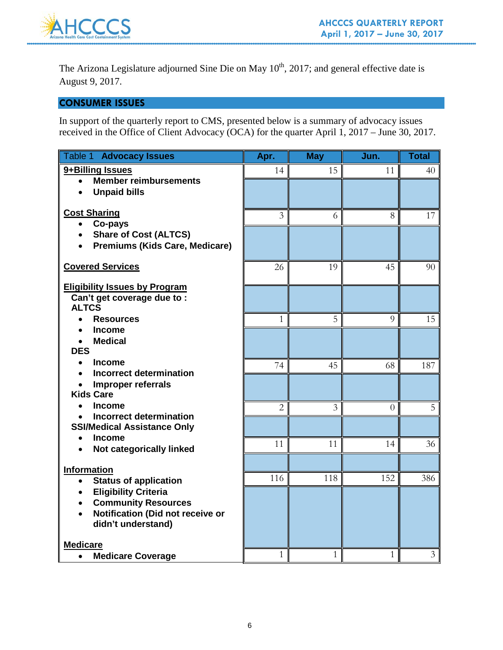

The Arizona Legislature adjourned Sine Die on May 10<sup>th</sup>, 2017; and general effective date is August 9, 2017.

# **CONSUMER ISSUES**

In support of the quarterly report to CMS, presented below is a summary of advocacy issues received in the Office of Client Advocacy (OCA) for the quarter April 1, 2017 – June 30, 2017.

| Table 1 Advocacy Issues                                                     | Apr.           | <b>May</b> | Jun.         | <b>Total</b> |
|-----------------------------------------------------------------------------|----------------|------------|--------------|--------------|
| 9+Billing Issues                                                            | 14             | 15         | 11           | 40           |
| <b>Member reimbursements</b><br>$\bullet$                                   |                |            |              |              |
| <b>Unpaid bills</b><br>$\bullet$                                            |                |            |              |              |
| <b>Cost Sharing</b>                                                         | $\overline{3}$ | 6          | 8            | 17           |
| Co-pays<br>$\bullet$                                                        |                |            |              |              |
| <b>Share of Cost (ALTCS)</b><br>$\bullet$                                   |                |            |              |              |
| <b>Premiums (Kids Care, Medicare)</b><br>$\bullet$                          |                |            |              |              |
| <b>Covered Services</b>                                                     | 26             | 19         | 45           | 90           |
|                                                                             |                |            |              |              |
| <b>Eligibility Issues by Program</b><br>Can't get coverage due to :         |                |            |              |              |
| <b>ALTCS</b>                                                                |                |            |              |              |
| <b>Resources</b>                                                            | 1              | 5          | 9            | 15           |
| <b>Income</b>                                                               |                |            |              |              |
| <b>Medical</b><br>$\bullet$                                                 |                |            |              |              |
| <b>DES</b>                                                                  |                |            |              |              |
| <b>Income</b><br>$\bullet$<br>Incorrect determination<br>$\bullet$          | 74             | 45         | 68           | 187          |
| Improper referrals                                                          |                |            |              |              |
| <b>Kids Care</b>                                                            |                |            |              |              |
| <b>Income</b><br>$\bullet$                                                  | $\overline{2}$ | 3          | $\Omega$     | 5            |
| <b>Incorrect determination</b><br>$\bullet$                                 |                |            |              |              |
| <b>SSI/Medical Assistance Only</b>                                          |                |            |              |              |
| <b>Income</b><br>$\bullet$<br>Not categorically linked<br>$\bullet$         | 11             | 11         | 14           | 36           |
|                                                                             |                |            |              |              |
| <b>Information</b>                                                          |                |            |              |              |
| <b>Status of application</b><br>$\bullet$                                   | 116            | 118        | 152          | 386          |
| <b>Eligibility Criteria</b><br>$\bullet$                                    |                |            |              |              |
| <b>Community Resources</b><br>Notification (Did not receive or<br>$\bullet$ |                |            |              |              |
| didn't understand)                                                          |                |            |              |              |
|                                                                             |                |            |              |              |
| <b>Medicare</b>                                                             |                |            |              |              |
| <b>Medicare Coverage</b><br>$\bullet$                                       | 1              | 1          | $\mathbf{1}$ | 3            |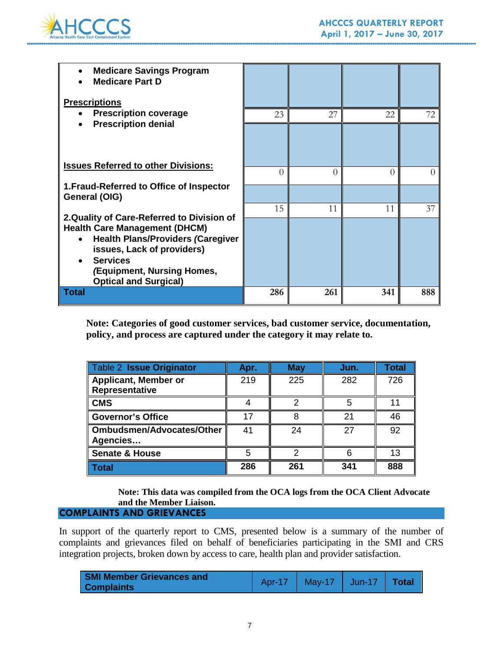

| <b>Medicare Savings Program</b><br><b>Medicare Part D</b><br><b>Prescriptions</b>                                                                                                               |           |          |     |     |
|-------------------------------------------------------------------------------------------------------------------------------------------------------------------------------------------------|-----------|----------|-----|-----|
| <b>Prescription coverage</b>                                                                                                                                                                    | 23        | 27       | 22  | 72  |
| <b>Prescription denial</b><br><b>Issues Referred to other Divisions:</b>                                                                                                                        |           |          |     |     |
|                                                                                                                                                                                                 | $\bigcap$ | $\Omega$ | 0   |     |
| 1. Fraud-Referred to Office of Inspector<br>General (OIG)                                                                                                                                       |           |          |     |     |
| 2. Quality of Care-Referred to Division of                                                                                                                                                      | 15        | 11       | 11  | 37  |
| <b>Health Care Management (DHCM)</b><br><b>Health Plans/Providers (Caregiver</b><br>issues, Lack of providers)<br><b>Services</b><br>(Equipment, Nursing Homes,<br><b>Optical and Surgical)</b> |           |          |     |     |
| <b>Total</b>                                                                                                                                                                                    | 286       | 261      | 341 | 888 |

**Note: Categories of good customer services, bad customer service, documentation, policy, and process are captured under the category it may relate to.** 

| <b>Table 2 Issue Originator</b>               | Apr. | <b>May</b> | Jun. | Total |
|-----------------------------------------------|------|------------|------|-------|
| <b>Applicant, Member or</b><br>Representative | 219  | 225        | 282  | 726   |
| <b>CMS</b>                                    |      |            | 5    |       |
| <b>Governor's Office</b>                      | 17   |            | 21   | 46    |
| <b>Ombudsmen/Advocates/Other</b><br>Agencies  | 41   | 24         | 27   | 92    |
| <b>Senate &amp; House</b>                     | 5    |            |      | 13    |
| <b>Total</b>                                  | 286  | 261        | 341  | 888   |

**Note: This data was compiled from the OCA logs from the OCA Client Advocate and the Member Liaison.**

# **COMPLAINTS AND GRIEVANCES**

In support of the quarterly report to CMS, presented below is a summary of the number of complaints and grievances filed on behalf of beneficiaries participating in the SMI and CRS integration projects, broken down by access to care, health plan and provider satisfaction.

| <b>SMI Member Grievances and</b> | Apr-17   May-17   Jun-17   <b>Total</b> |  |
|----------------------------------|-----------------------------------------|--|
| <b>Complaints</b>                |                                         |  |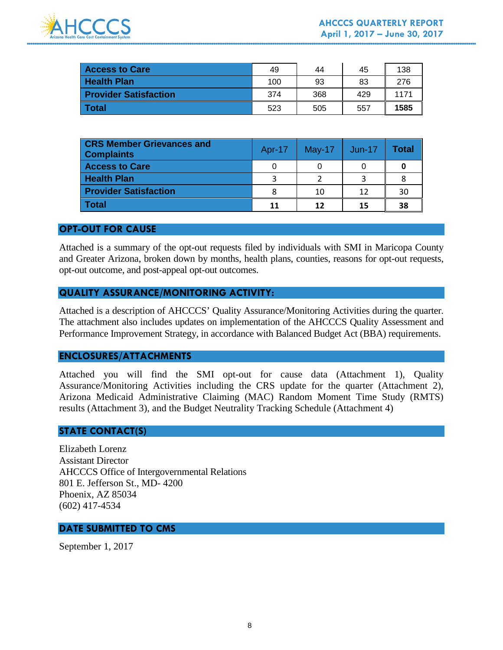

| <b>Access to Care</b>        | 49  | 44  | 45  | 138  |
|------------------------------|-----|-----|-----|------|
| <b>Health Plan</b>           | 100 | 93  | 83  | 276  |
| <b>Provider Satisfaction</b> | 374 | 368 | 429 | 1171 |
| l Total                      | 523 | 505 | 557 | 1585 |

| <b>CRS Member Grievances and</b><br><b>Complaints</b> | Apr-17 | $May-17$ | Jun-17 | Total |
|-------------------------------------------------------|--------|----------|--------|-------|
| <b>Access to Care</b>                                 |        |          |        |       |
| <b>Health Plan</b>                                    | 3      |          |        |       |
| <b>Provider Satisfaction</b>                          | 8      | 10       | 12     | 30    |
| <b>Total</b>                                          | 11     | 12       | 15     | 38    |

### **OPT-OUT FOR CAUSE**

Attached is a summary of the opt-out requests filed by individuals with SMI in Maricopa County and Greater Arizona, broken down by months, health plans, counties, reasons for opt-out requests, opt-out outcome, and post-appeal opt-out outcomes.

# **QUALITY ASSURANCE/MONITORING ACTIVITY:**

Attached is a description of AHCCCS' Quality Assurance/Monitoring Activities during the quarter. The attachment also includes updates on implementation of the AHCCCS Quality Assessment and Performance Improvement Strategy, in accordance with Balanced Budget Act (BBA) requirements.

# **ENCLOSURES/ATTACHMENTS**

Attached you will find the SMI opt-out for cause data (Attachment 1), Quality Assurance/Monitoring Activities including the CRS update for the quarter (Attachment 2), Arizona Medicaid Administrative Claiming (MAC) Random Moment Time Study (RMTS) results (Attachment 3), and the Budget Neutrality Tracking Schedule (Attachment 4)

# **STATE CONTACT(S)**

Elizabeth Lorenz Assistant Director AHCCCS Office of Intergovernmental Relations 801 E. Jefferson St., MD- 4200 Phoenix, AZ 85034 (602) 417-4534

### **DATE SUBMITTED TO CMS**

September 1, 2017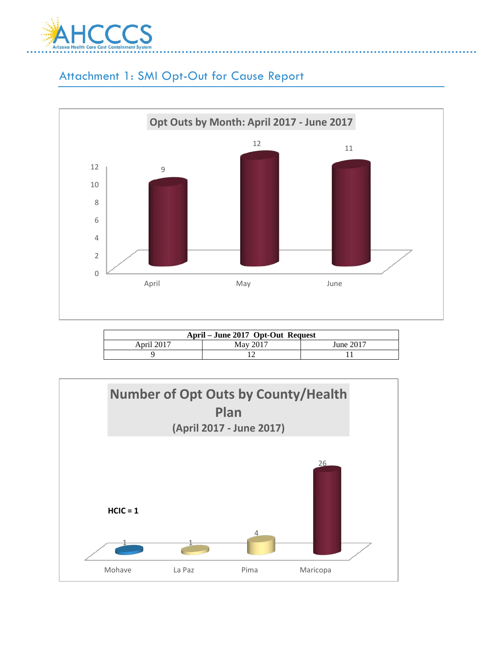

# Attachment 1: SMI Opt-Out for Cause Report



| April – June 2017 Opt-Out Request |          |           |  |  |
|-----------------------------------|----------|-----------|--|--|
| April 2017                        | May 2017 | June 2017 |  |  |
|                                   |          |           |  |  |

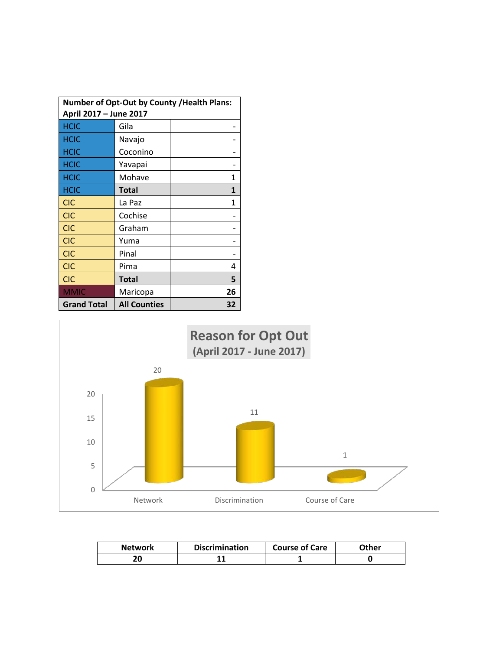| <b>Number of Opt-Out by County / Health Plans:</b><br>April 2017 - June 2017 |                     |    |  |  |  |  |  |  |
|------------------------------------------------------------------------------|---------------------|----|--|--|--|--|--|--|
| <b>HCIC</b>                                                                  | Gila                |    |  |  |  |  |  |  |
| <b>HCIC</b>                                                                  | Navajo              |    |  |  |  |  |  |  |
| <b>HCIC</b>                                                                  | Coconino            |    |  |  |  |  |  |  |
| <b>HCIC</b>                                                                  | Yavapai             |    |  |  |  |  |  |  |
| <b>HCIC</b>                                                                  | Mohave              | 1  |  |  |  |  |  |  |
| <b>HCIC</b>                                                                  | <b>Total</b>        | 1  |  |  |  |  |  |  |
| <b>CIC</b>                                                                   | La Paz              | 1  |  |  |  |  |  |  |
| <b>CIC</b>                                                                   | Cochise             |    |  |  |  |  |  |  |
| <b>CIC</b>                                                                   | Graham              |    |  |  |  |  |  |  |
| <b>CIC</b>                                                                   | Yuma                |    |  |  |  |  |  |  |
| <b>CIC</b>                                                                   | Pinal               |    |  |  |  |  |  |  |
| <b>CIC</b>                                                                   | Pima                | 4  |  |  |  |  |  |  |
| <b>CIC</b>                                                                   | <b>Total</b>        | 5  |  |  |  |  |  |  |
| <b>MMIC</b>                                                                  | Maricopa            | 26 |  |  |  |  |  |  |
| <b>Grand Total</b>                                                           | <b>All Counties</b> | 32 |  |  |  |  |  |  |



| <b>Network</b> | <b>Discrimination</b> | <b>Course of Care</b> | Other |
|----------------|-----------------------|-----------------------|-------|
| 20             |                       |                       |       |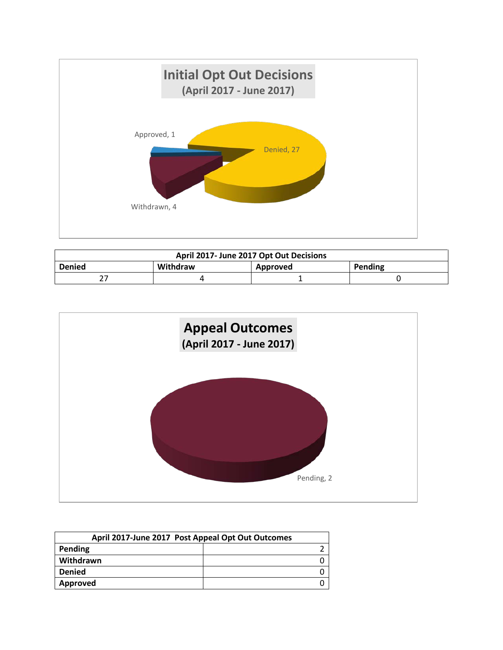

| April 2017- June 2017 Opt Out Decisions |          |          |         |  |  |  |  |  |  |
|-----------------------------------------|----------|----------|---------|--|--|--|--|--|--|
| <b>Denied</b>                           | Withdraw | Approved | Pending |  |  |  |  |  |  |
|                                         |          |          |         |  |  |  |  |  |  |



| April 2017-June 2017 Post Appeal Opt Out Outcomes |  |  |  |  |  |  |  |  |
|---------------------------------------------------|--|--|--|--|--|--|--|--|
| Pending                                           |  |  |  |  |  |  |  |  |
| Withdrawn                                         |  |  |  |  |  |  |  |  |
| <b>Denied</b>                                     |  |  |  |  |  |  |  |  |
| Approved                                          |  |  |  |  |  |  |  |  |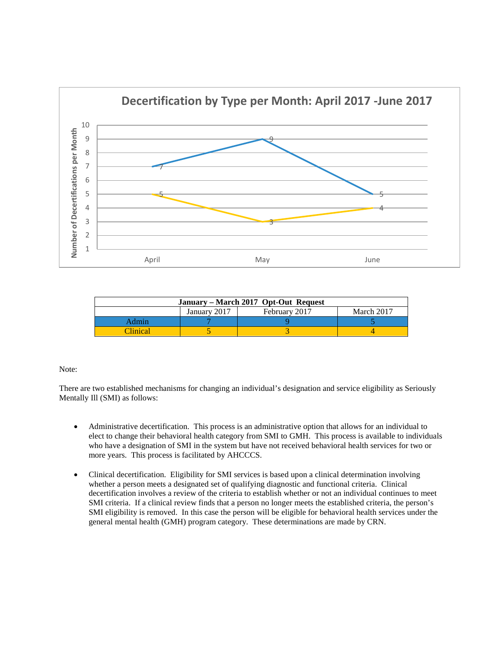

| January – March 2017 Opt-Out Request |              |               |            |  |  |  |  |  |  |  |  |
|--------------------------------------|--------------|---------------|------------|--|--|--|--|--|--|--|--|
|                                      | January 2017 | February 2017 | March 2017 |  |  |  |  |  |  |  |  |
|                                      |              |               |            |  |  |  |  |  |  |  |  |
| <b>Clinical</b>                      |              |               |            |  |  |  |  |  |  |  |  |

#### Note:

There are two established mechanisms for changing an individual's designation and service eligibility as Seriously Mentally Ill (SMI) as follows:

- Administrative decertification. This process is an administrative option that allows for an individual to elect to change their behavioral health category from SMI to GMH. This process is available to individuals who have a designation of SMI in the system but have not received behavioral health services for two or more years. This process is facilitated by AHCCCS.
- Clinical decertification. Eligibility for SMI services is based upon a clinical determination involving whether a person meets a designated set of qualifying diagnostic and functional criteria. Clinical decertification involves a review of the criteria to establish whether or not an individual continues to meet SMI criteria. If a clinical review finds that a person no longer meets the established criteria, the person's SMI eligibility is removed. In this case the person will be eligible for behavioral health services under the general mental health (GMH) program category. These determinations are made by CRN.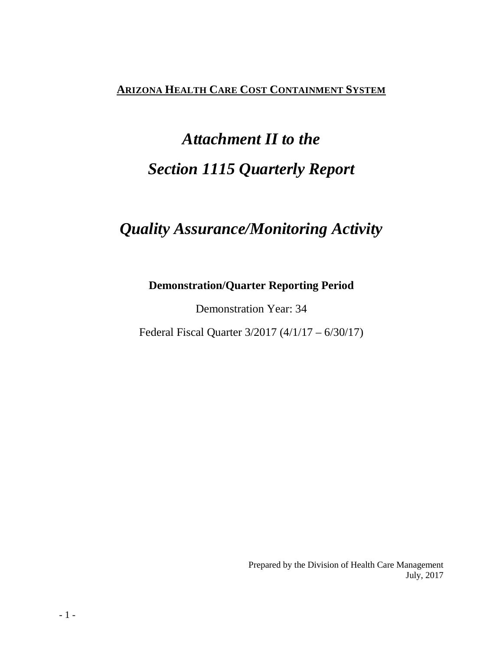# **ARIZONA HEALTH CARE COST CONTAINMENT SYSTEM**

# *Attachment II to the Section 1115 Quarterly Report*

# *Quality Assurance/Monitoring Activity*

# **Demonstration/Quarter Reporting Period**

Demonstration Year: 34

Federal Fiscal Quarter 3/2017 (4/1/17 – 6/30/17)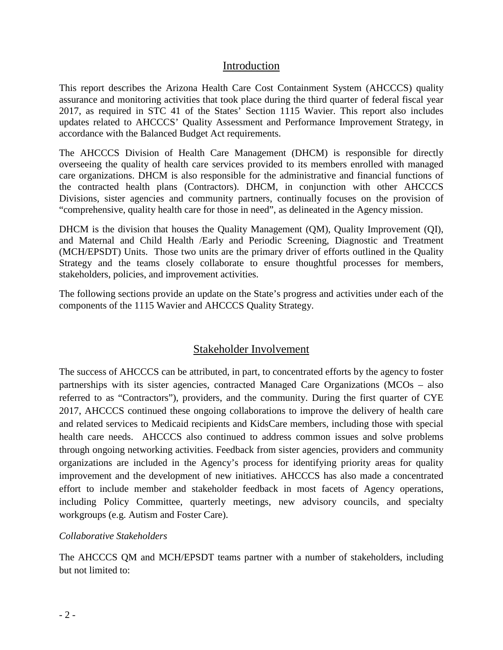# Introduction

This report describes the Arizona Health Care Cost Containment System (AHCCCS) quality assurance and monitoring activities that took place during the third quarter of federal fiscal year 2017, as required in STC 41 of the States' Section 1115 Wavier. This report also includes updates related to AHCCCS' Quality Assessment and Performance Improvement Strategy, in accordance with the Balanced Budget Act requirements.

The AHCCCS Division of Health Care Management (DHCM) is responsible for directly overseeing the quality of health care services provided to its members enrolled with managed care organizations. DHCM is also responsible for the administrative and financial functions of the contracted health plans (Contractors). DHCM, in conjunction with other AHCCCS Divisions, sister agencies and community partners, continually focuses on the provision of "comprehensive, quality health care for those in need", as delineated in the Agency mission.

DHCM is the division that houses the Quality Management (QM), Quality Improvement (QI), and Maternal and Child Health /Early and Periodic Screening, Diagnostic and Treatment (MCH/EPSDT) Units. Those two units are the primary driver of efforts outlined in the Quality Strategy and the teams closely collaborate to ensure thoughtful processes for members, stakeholders, policies, and improvement activities.

The following sections provide an update on the State's progress and activities under each of the components of the 1115 Wavier and AHCCCS Quality Strategy.

# Stakeholder Involvement

The success of AHCCCS can be attributed, in part, to concentrated efforts by the agency to foster partnerships with its sister agencies, contracted Managed Care Organizations (MCOs – also referred to as "Contractors"), providers, and the community. During the first quarter of CYE 2017, AHCCCS continued these ongoing collaborations to improve the delivery of health care and related services to Medicaid recipients and KidsCare members, including those with special health care needs. AHCCCS also continued to address common issues and solve problems through ongoing networking activities. Feedback from sister agencies, providers and community organizations are included in the Agency's process for identifying priority areas for quality improvement and the development of new initiatives. AHCCCS has also made a concentrated effort to include member and stakeholder feedback in most facets of Agency operations, including Policy Committee, quarterly meetings, new advisory councils, and specialty workgroups (e.g. Autism and Foster Care).

# *Collaborative Stakeholders*

The AHCCCS QM and MCH/EPSDT teams partner with a number of stakeholders, including but not limited to: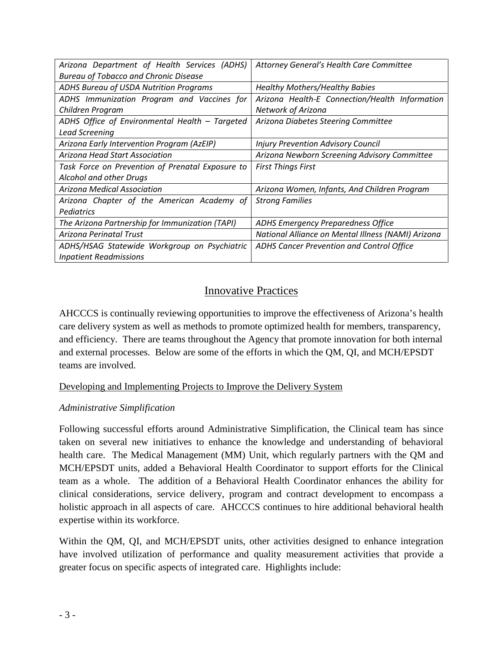| Arizona Department of Health Services (ADHS)     | Attorney General's Health Care Committee           |  |  |  |  |  |
|--------------------------------------------------|----------------------------------------------------|--|--|--|--|--|
| <b>Bureau of Tobacco and Chronic Disease</b>     |                                                    |  |  |  |  |  |
| ADHS Bureau of USDA Nutrition Programs           | <b>Healthy Mothers/Healthy Babies</b>              |  |  |  |  |  |
| ADHS Immunization Program and Vaccines for       | Arizona Health-E Connection/Health Information     |  |  |  |  |  |
| Children Program                                 | <b>Network of Arizona</b>                          |  |  |  |  |  |
| ADHS Office of Environmental Health - Targeted   | Arizona Diabetes Steering Committee                |  |  |  |  |  |
| <b>Lead Screening</b>                            |                                                    |  |  |  |  |  |
| Arizona Early Intervention Program (AzEIP)       | <b>Injury Prevention Advisory Council</b>          |  |  |  |  |  |
| Arizona Head Start Association                   | Arizona Newborn Screening Advisory Committee       |  |  |  |  |  |
| Task Force on Prevention of Prenatal Exposure to | <b>First Things First</b>                          |  |  |  |  |  |
| Alcohol and other Drugs                          |                                                    |  |  |  |  |  |
| Arizona Medical Association                      | Arizona Women, Infants, And Children Program       |  |  |  |  |  |
| Arizona Chapter of the American Academy of       | <b>Strong Families</b>                             |  |  |  |  |  |
| Pediatrics                                       |                                                    |  |  |  |  |  |
| The Arizona Partnership for Immunization (TAPI)  | <b>ADHS Emergency Preparedness Office</b>          |  |  |  |  |  |
| <b>Arizona Perinatal Trust</b>                   | National Alliance on Mental Illness (NAMI) Arizona |  |  |  |  |  |
| ADHS/HSAG Statewide Workgroup on Psychiatric     | ADHS Cancer Prevention and Control Office          |  |  |  |  |  |
| <b>Inpatient Readmissions</b>                    |                                                    |  |  |  |  |  |

# Innovative Practices

AHCCCS is continually reviewing opportunities to improve the effectiveness of Arizona's health care delivery system as well as methods to promote optimized health for members, transparency, and efficiency. There are teams throughout the Agency that promote innovation for both internal and external processes. Below are some of the efforts in which the QM, QI, and MCH/EPSDT teams are involved.

# Developing and Implementing Projects to Improve the Delivery System

# *Administrative Simplification*

Following successful efforts around Administrative Simplification, the Clinical team has since taken on several new initiatives to enhance the knowledge and understanding of behavioral health care. The Medical Management (MM) Unit, which regularly partners with the QM and MCH/EPSDT units, added a Behavioral Health Coordinator to support efforts for the Clinical team as a whole. The addition of a Behavioral Health Coordinator enhances the ability for clinical considerations, service delivery, program and contract development to encompass a holistic approach in all aspects of care. AHCCCS continues to hire additional behavioral health expertise within its workforce.

Within the QM, QI, and MCH/EPSDT units, other activities designed to enhance integration have involved utilization of performance and quality measurement activities that provide a greater focus on specific aspects of integrated care. Highlights include: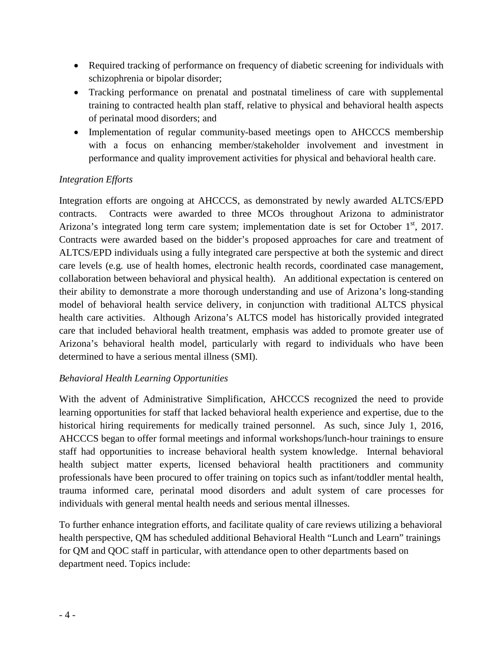- Required tracking of performance on frequency of diabetic screening for individuals with schizophrenia or bipolar disorder;
- Tracking performance on prenatal and postnatal timeliness of care with supplemental training to contracted health plan staff, relative to physical and behavioral health aspects of perinatal mood disorders; and
- Implementation of regular community-based meetings open to AHCCCS membership with a focus on enhancing member/stakeholder involvement and investment in performance and quality improvement activities for physical and behavioral health care.

# *Integration Efforts*

Integration efforts are ongoing at AHCCCS, as demonstrated by newly awarded ALTCS/EPD contracts. Contracts were awarded to three MCOs throughout Arizona to administrator Arizona's integrated long term care system; implementation date is set for October  $1<sup>st</sup>$ , 2017. Contracts were awarded based on the bidder's proposed approaches for care and treatment of ALTCS/EPD individuals using a fully integrated care perspective at both the systemic and direct care levels (e.g. use of health homes, electronic health records, coordinated case management, collaboration between behavioral and physical health). An additional expectation is centered on their ability to demonstrate a more thorough understanding and use of Arizona's long-standing model of behavioral health service delivery, in conjunction with traditional ALTCS physical health care activities. Although Arizona's ALTCS model has historically provided integrated care that included behavioral health treatment, emphasis was added to promote greater use of Arizona's behavioral health model, particularly with regard to individuals who have been determined to have a serious mental illness (SMI).

# *Behavioral Health Learning Opportunities*

With the advent of Administrative Simplification, AHCCCS recognized the need to provide learning opportunities for staff that lacked behavioral health experience and expertise, due to the historical hiring requirements for medically trained personnel. As such, since July 1, 2016, AHCCCS began to offer formal meetings and informal workshops/lunch-hour trainings to ensure staff had opportunities to increase behavioral health system knowledge. Internal behavioral health subject matter experts, licensed behavioral health practitioners and community professionals have been procured to offer training on topics such as infant/toddler mental health, trauma informed care, perinatal mood disorders and adult system of care processes for individuals with general mental health needs and serious mental illnesses.

To further enhance integration efforts, and facilitate quality of care reviews utilizing a behavioral health perspective, QM has scheduled additional Behavioral Health "Lunch and Learn" trainings for QM and QOC staff in particular, with attendance open to other departments based on department need. Topics include: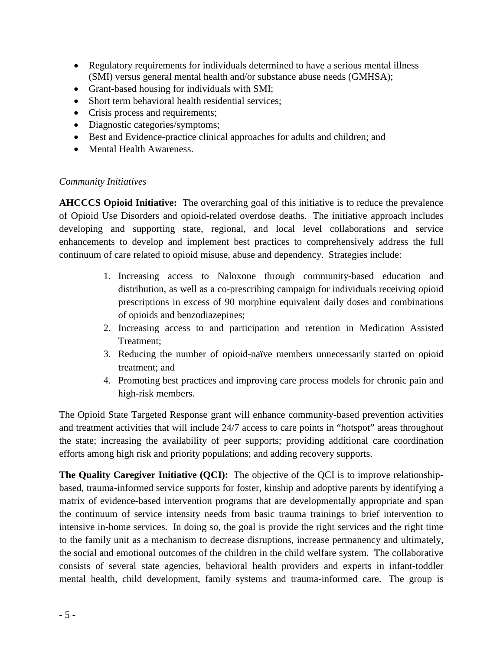- Regulatory requirements for individuals determined to have a serious mental illness (SMI) versus general mental health and/or substance abuse needs (GMHSA);
- Grant-based housing for individuals with SMI;
- Short term behavioral health residential services:
- Crisis process and requirements;
- Diagnostic categories/symptoms;
- Best and Evidence-practice clinical approaches for adults and children; and
- Mental Health Awareness.

# *Community Initiatives*

**AHCCCS Opioid Initiative:** The overarching goal of this initiative is to reduce the prevalence of Opioid Use Disorders and opioid-related overdose deaths. The initiative approach includes developing and supporting state, regional, and local level collaborations and service enhancements to develop and implement best practices to comprehensively address the full continuum of care related to opioid misuse, abuse and dependency. Strategies include:

- 1. Increasing access to Naloxone through community-based education and distribution, as well as a co-prescribing campaign for individuals receiving opioid prescriptions in excess of 90 morphine equivalent daily doses and combinations of opioids and benzodiazepines;
- 2. Increasing access to and participation and retention in Medication Assisted Treatment;
- 3. Reducing the number of opioid-naïve members unnecessarily started on opioid treatment; and
- 4. Promoting best practices and improving care process models for chronic pain and high-risk members.

The Opioid State Targeted Response grant will enhance community-based prevention activities and treatment activities that will include 24/7 access to care points in "hotspot" areas throughout the state; increasing the availability of peer supports; providing additional care coordination efforts among high risk and priority populations; and adding recovery supports.

**The Quality Caregiver Initiative (QCI):** The objective of the QCI is to improve relationshipbased, trauma-informed service supports for foster, kinship and adoptive parents by identifying a matrix of evidence-based intervention programs that are developmentally appropriate and span the continuum of service intensity needs from basic trauma trainings to brief intervention to intensive in-home services. In doing so, the goal is provide the right services and the right time to the family unit as a mechanism to decrease disruptions, increase permanency and ultimately, the social and emotional outcomes of the children in the child welfare system. The collaborative consists of several state agencies, behavioral health providers and experts in infant-toddler mental health, child development, family systems and trauma-informed care. The group is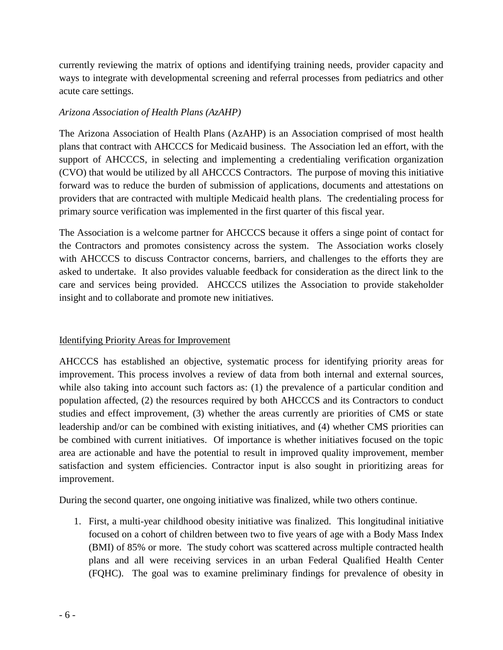currently reviewing the matrix of options and identifying training needs, provider capacity and ways to integrate with developmental screening and referral processes from pediatrics and other acute care settings.

# *Arizona Association of Health Plans (AzAHP)*

The Arizona Association of Health Plans (AzAHP) is an Association comprised of most health plans that contract with AHCCCS for Medicaid business. The Association led an effort, with the support of AHCCCS, in selecting and implementing a credentialing verification organization (CVO) that would be utilized by all AHCCCS Contractors. The purpose of moving this initiative forward was to reduce the burden of submission of applications, documents and attestations on providers that are contracted with multiple Medicaid health plans. The credentialing process for primary source verification was implemented in the first quarter of this fiscal year.

The Association is a welcome partner for AHCCCS because it offers a singe point of contact for the Contractors and promotes consistency across the system. The Association works closely with AHCCCS to discuss Contractor concerns, barriers, and challenges to the efforts they are asked to undertake. It also provides valuable feedback for consideration as the direct link to the care and services being provided. AHCCCS utilizes the Association to provide stakeholder insight and to collaborate and promote new initiatives.

# Identifying Priority Areas for Improvement

AHCCCS has established an objective, systematic process for identifying priority areas for improvement. This process involves a review of data from both internal and external sources, while also taking into account such factors as: (1) the prevalence of a particular condition and population affected, (2) the resources required by both AHCCCS and its Contractors to conduct studies and effect improvement, (3) whether the areas currently are priorities of CMS or state leadership and/or can be combined with existing initiatives, and (4) whether CMS priorities can be combined with current initiatives. Of importance is whether initiatives focused on the topic area are actionable and have the potential to result in improved quality improvement, member satisfaction and system efficiencies. Contractor input is also sought in prioritizing areas for improvement.

During the second quarter, one ongoing initiative was finalized, while two others continue.

1. First, a multi-year childhood obesity initiative was finalized. This longitudinal initiative focused on a cohort of children between two to five years of age with a Body Mass Index (BMI) of 85% or more. The study cohort was scattered across multiple contracted health plans and all were receiving services in an urban Federal Qualified Health Center (FQHC). The goal was to examine preliminary findings for prevalence of obesity in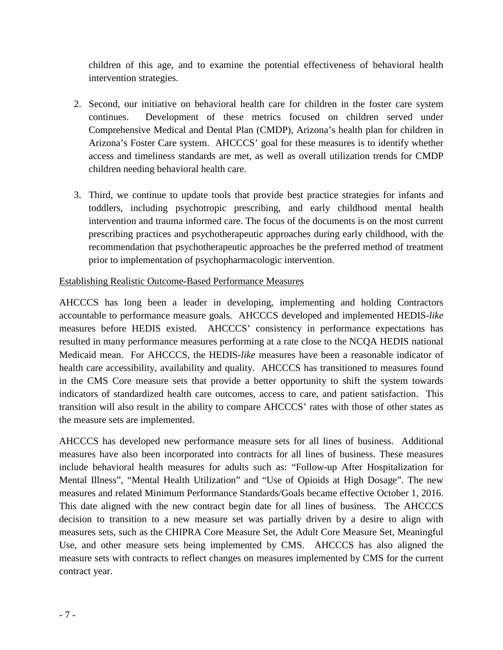children of this age, and to examine the potential effectiveness of behavioral health intervention strategies.

- 2. Second, our initiative on behavioral health care for children in the foster care system continues. Development of these metrics focused on children served under Comprehensive Medical and Dental Plan (CMDP), Arizona's health plan for children in Arizona's Foster Care system. AHCCCS' goal for these measures is to identify whether access and timeliness standards are met, as well as overall utilization trends for CMDP children needing behavioral health care.
- 3. Third, we continue to update tools that provide best practice strategies for infants and toddlers, including psychotropic prescribing, and early childhood mental health intervention and trauma informed care. The focus of the documents is on the most current prescribing practices and psychotherapeutic approaches during early childhood, with the recommendation that psychotherapeutic approaches be the preferred method of treatment prior to implementation of psychopharmacologic intervention.

# Establishing Realistic Outcome-Based Performance Measures

AHCCCS has long been a leader in developing, implementing and holding Contractors accountable to performance measure goals. AHCCCS developed and implemented HEDIS-*like* measures before HEDIS existed. AHCCCS' consistency in performance expectations has resulted in many performance measures performing at a rate close to the NCQA HEDIS national Medicaid mean. For AHCCCS, the HEDIS-*like* measures have been a reasonable indicator of health care accessibility, availability and quality. AHCCCS has transitioned to measures found in the CMS Core measure sets that provide a better opportunity to shift the system towards indicators of standardized health care outcomes, access to care, and patient satisfaction. This transition will also result in the ability to compare AHCCCS' rates with those of other states as the measure sets are implemented.

AHCCCS has developed new performance measure sets for all lines of business. Additional measures have also been incorporated into contracts for all lines of business. These measures include behavioral health measures for adults such as: "Follow-up After Hospitalization for Mental Illness", "Mental Health Utilization" and "Use of Opioids at High Dosage". The new measures and related Minimum Performance Standards/Goals became effective October 1, 2016. This date aligned with the new contract begin date for all lines of business. The AHCCCS decision to transition to a new measure set was partially driven by a desire to align with measures sets, such as the CHIPRA Core Measure Set, the Adult Core Measure Set, Meaningful Use, and other measure sets being implemented by CMS. AHCCCS has also aligned the measure sets with contracts to reflect changes on measures implemented by CMS for the current contract year.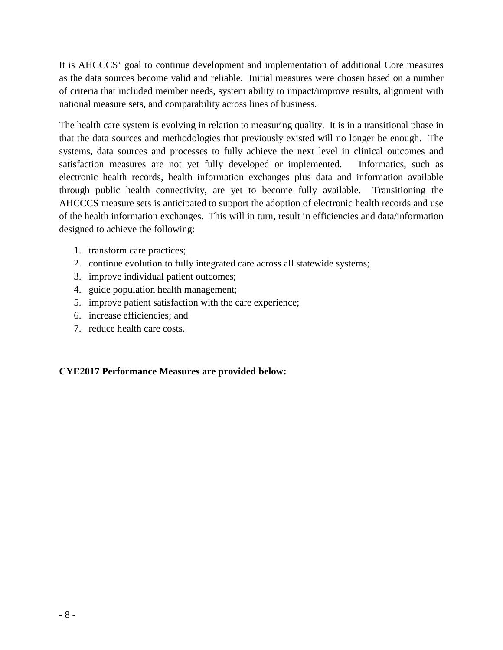It is AHCCCS' goal to continue development and implementation of additional Core measures as the data sources become valid and reliable. Initial measures were chosen based on a number of criteria that included member needs, system ability to impact/improve results, alignment with national measure sets, and comparability across lines of business.

The health care system is evolving in relation to measuring quality. It is in a transitional phase in that the data sources and methodologies that previously existed will no longer be enough. The systems, data sources and processes to fully achieve the next level in clinical outcomes and satisfaction measures are not yet fully developed or implemented. Informatics, such as electronic health records, health information exchanges plus data and information available through public health connectivity, are yet to become fully available. Transitioning the AHCCCS measure sets is anticipated to support the adoption of electronic health records and use of the health information exchanges. This will in turn, result in efficiencies and data/information designed to achieve the following:

- 1. transform care practices;
- 2. continue evolution to fully integrated care across all statewide systems;
- 3. improve individual patient outcomes;
- 4. guide population health management;
- 5. improve patient satisfaction with the care experience;
- 6. increase efficiencies; and
- 7. reduce health care costs.

# **CYE2017 Performance Measures are provided below:**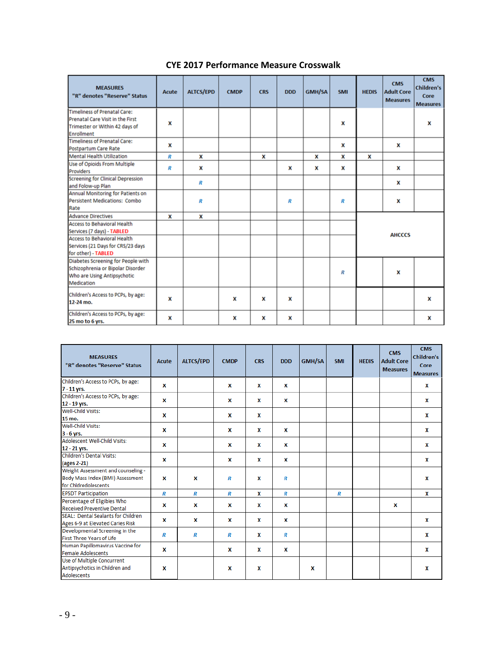| <b>MEASURES</b><br>"R" denotes "Reserve" Status                                                                                                                    | Acute | <b>ALTCS/EPD</b> | <b>CMDP</b> | <b>CRS</b> | <b>DDD</b> | GMH/SA | <b>SMI</b> | <b>HEDIS</b> | <b>CMS</b><br><b>Adult Core</b><br><b>Measures</b> | <b>CMS</b><br><b>Children's</b><br>Core<br><b>Measures</b> |
|--------------------------------------------------------------------------------------------------------------------------------------------------------------------|-------|------------------|-------------|------------|------------|--------|------------|--------------|----------------------------------------------------|------------------------------------------------------------|
| Timeliness of Prenatal Care:<br>Prenatal Care Visit in the First<br>Trimester or Within 42 days of<br>Enrollment                                                   | x     |                  |             |            |            |        | x          |              |                                                    | x                                                          |
| <b>Timeliness of Prenatal Care:</b><br>Postpartum Care Rate                                                                                                        | x     |                  |             |            |            |        | x          |              | x                                                  |                                                            |
| <b>Mental Health Utilization</b>                                                                                                                                   | R     | x                |             | x          |            | x      | x          | x            |                                                    |                                                            |
| Use of Opioids From Multiple<br>Providers                                                                                                                          | R     | x                |             |            | x          | x      | x          |              | x                                                  |                                                            |
| <b>Screening for Clinical Depression</b><br>and Folow-up Plan                                                                                                      |       | R                |             |            |            |        |            |              | x                                                  |                                                            |
| Annual Monitoring for Patients on<br>Persistent Medications: Combo<br>Rate                                                                                         |       | R                |             |            | R          |        | R          |              | x                                                  |                                                            |
| <b>Advance Directives</b>                                                                                                                                          | x     | x                |             |            |            |        |            |              |                                                    |                                                            |
| <b>Access to Behavioral Health</b><br>Services (7 days) - TABLED<br><b>Access to Behavioral Health</b><br>Services (21 Days for CRS/23 days<br>for other) - TABLED |       |                  |             |            |            |        |            |              | <b>AHCCCS</b>                                      |                                                            |
| Diabetes Screening for People with<br>Schizophrenia or Bipolar Disorder<br>Who are Using Antipsychotic<br>Medication                                               |       |                  |             |            |            |        | R          |              | X                                                  |                                                            |
| Children's Access to PCPs, by age:<br>12-24 mo.                                                                                                                    | x     |                  | x           | x          | X          |        |            |              |                                                    | x                                                          |
| Children's Access to PCPs, by age:<br>25 mo to 6 yrs.                                                                                                              | x     |                  | x           | x          | x          |        |            |              |                                                    | x                                                          |

# **CYE 2017 Performance Measure Crosswalk**

| <b>MEASURES</b><br>"R" denotes "Reserve" Status | Acute | <b>ALTCS/EPD</b> | <b>CMDP</b> | <b>CRS</b> | <b>DDD</b> | <b>GMH/SA</b> | <b>SMI</b> | <b>HEDIS</b> | <b>CMS</b><br><b>Adult Core</b><br><b>Measures</b> | <b>CMS</b><br><b>Children's</b><br>Core<br><b>Measures</b> |
|-------------------------------------------------|-------|------------------|-------------|------------|------------|---------------|------------|--------------|----------------------------------------------------|------------------------------------------------------------|
| Children's Access to PCPs, by age:              |       |                  |             |            |            |               |            |              |                                                    |                                                            |
| 7 - 11 yrs.                                     | x     |                  | x           | x          | x          |               |            |              |                                                    | x                                                          |
| Children's Access to PCPs, by age:              | x     |                  | x           | x          | x          |               |            |              |                                                    | x                                                          |
| 12 - 19 yrs.                                    |       |                  |             |            |            |               |            |              |                                                    |                                                            |
| <b>Well-Child Visits:</b>                       | X     |                  | x           | x          |            |               |            |              |                                                    | x                                                          |
| 15 mo.                                          |       |                  |             |            |            |               |            |              |                                                    |                                                            |
| Well-Child Visits:                              |       |                  |             |            |            |               |            |              |                                                    |                                                            |
| $3 - 6$ yrs.                                    | X     |                  | x           | x          | x          |               |            |              |                                                    | x                                                          |
| <b>Adolescent Well-Child Visits:</b>            |       |                  |             | x          |            |               |            |              |                                                    |                                                            |
| 12 - 21 yrs.                                    | X     |                  | X           |            | x          |               |            |              |                                                    | x                                                          |
| <b>Children's Dental Visits:</b>                |       |                  |             |            |            |               |            |              |                                                    |                                                            |
| (ages 2-21)                                     | x     |                  | x           | x          | x          |               |            |              |                                                    | x                                                          |
| Weight Assessment and counseling -              |       |                  |             |            |            |               |            |              |                                                    |                                                            |
| Body Mass Index (BMI) Assessment                | x     | x                | R           | x          | R          |               |            |              |                                                    | x                                                          |
| for Chidredolescents                            |       |                  |             |            |            |               |            |              |                                                    |                                                            |
| <b>EPSDT Participation</b>                      | R     | R                | R           | x          | R          |               | R          |              |                                                    | x                                                          |
| Percentage of Eligibles Who                     |       |                  |             |            |            |               |            |              |                                                    |                                                            |
| <b>Received Preventive Dental</b>               | x     | X                | x           | x          | x          |               |            |              | x                                                  |                                                            |
| SEAL: Dental Sealants for Children              |       |                  |             |            |            |               |            |              |                                                    |                                                            |
| Ages 6-9 at Elevated Caries Risk                | X     | x                | X           | x          | x          |               |            |              |                                                    | x                                                          |
| Developmental Screening in the                  |       |                  |             |            |            |               |            |              |                                                    |                                                            |
| First Three Years of Life                       | R     | R                | R           | x          | R          |               |            |              |                                                    | x                                                          |
| Human Papillomavirus Vaccine for                |       |                  |             |            |            |               |            |              |                                                    |                                                            |
| Female Adolescents                              | x     |                  | x           | x          | X          |               |            |              |                                                    | x                                                          |
| Use of Multiple Concurrent                      |       |                  |             |            |            |               |            |              |                                                    |                                                            |
| Antipsychotics in Children and                  | x     |                  | x           | x          |            | x             |            |              |                                                    | x                                                          |
| <b>Adolescents</b>                              |       |                  |             |            |            |               |            |              |                                                    |                                                            |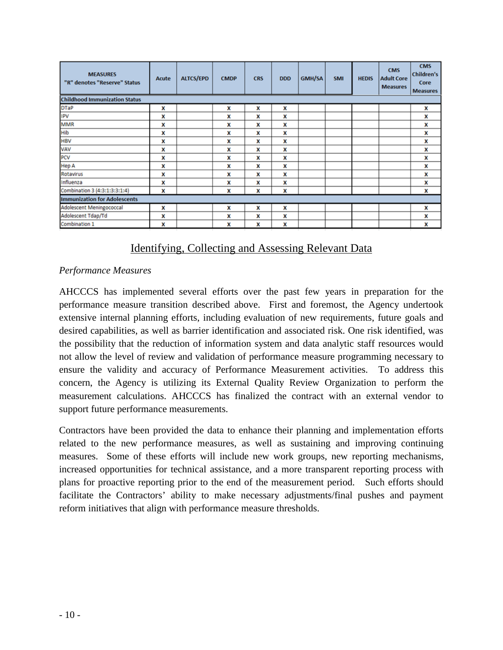| <b>MEASURES</b><br>"R" denotes "Reserve" Status | <b>Acute</b> | <b>ALTCS/EPD</b> | <b>CMDP</b> | <b>CRS</b> | <b>DDD</b> | <b>GMH/SA</b> | <b>SMI</b> | <b>HEDIS</b> | <b>CMS</b><br><b>Adult Core</b><br><b>Measures</b> | <b>CMS</b><br><b>Children's</b><br>Core<br><b>Measures</b> |  |  |
|-------------------------------------------------|--------------|------------------|-------------|------------|------------|---------------|------------|--------------|----------------------------------------------------|------------------------------------------------------------|--|--|
| <b>Childhood Immunization Status</b>            |              |                  |             |            |            |               |            |              |                                                    |                                                            |  |  |
| <b>DTaP</b>                                     | x            |                  | x           | x          | x          |               |            |              |                                                    | x                                                          |  |  |
| IPV                                             | x            |                  | x           | x          | x          |               |            |              |                                                    | x                                                          |  |  |
| <b>MMR</b>                                      | x            |                  | x           | x          | x          |               |            |              |                                                    | X                                                          |  |  |
| Hib                                             | x            |                  | x           | x          | x          |               |            |              |                                                    | x                                                          |  |  |
| <b>HBV</b>                                      | x            |                  | x           | x          | x          |               |            |              |                                                    | x                                                          |  |  |
| VAV                                             | x            |                  | X           | x          | x          |               |            |              |                                                    | x                                                          |  |  |
| PCV                                             | x            |                  | x           | x          | x          |               |            |              |                                                    | x                                                          |  |  |
| <b>Hep A</b>                                    | x            |                  | x           | x          | x          |               |            |              |                                                    | x                                                          |  |  |
| Rotavirus                                       | x            |                  | x           | x          | x          |               |            |              |                                                    | x                                                          |  |  |
| Influenza                                       | x            |                  | X           | x          | x          |               |            |              |                                                    | x                                                          |  |  |
| Combination 3 (4:3:1:3:3:1:4)                   | x            |                  | x           | x          | x          |               |            |              |                                                    | x                                                          |  |  |
| <b>Immunization for Adolescents</b>             |              |                  |             |            |            |               |            |              |                                                    |                                                            |  |  |
| Adolescent Meningococcal                        | x            |                  | x           | x          | x          |               |            |              |                                                    | x                                                          |  |  |
| Adolescent Tdap/Td                              | x            |                  | x           | x          | x          |               |            |              |                                                    | x                                                          |  |  |
| Combination 1                                   | x            |                  | x           | x          | x          |               |            |              |                                                    | x                                                          |  |  |

# Identifying, Collecting and Assessing Relevant Data

# *Performance Measures*

AHCCCS has implemented several efforts over the past few years in preparation for the performance measure transition described above. First and foremost, the Agency undertook extensive internal planning efforts, including evaluation of new requirements, future goals and desired capabilities, as well as barrier identification and associated risk. One risk identified, was the possibility that the reduction of information system and data analytic staff resources would not allow the level of review and validation of performance measure programming necessary to ensure the validity and accuracy of Performance Measurement activities. To address this concern, the Agency is utilizing its External Quality Review Organization to perform the measurement calculations. AHCCCS has finalized the contract with an external vendor to support future performance measurements.

Contractors have been provided the data to enhance their planning and implementation efforts related to the new performance measures, as well as sustaining and improving continuing measures. Some of these efforts will include new work groups, new reporting mechanisms, increased opportunities for technical assistance, and a more transparent reporting process with plans for proactive reporting prior to the end of the measurement period. Such efforts should facilitate the Contractors' ability to make necessary adjustments/final pushes and payment reform initiatives that align with performance measure thresholds.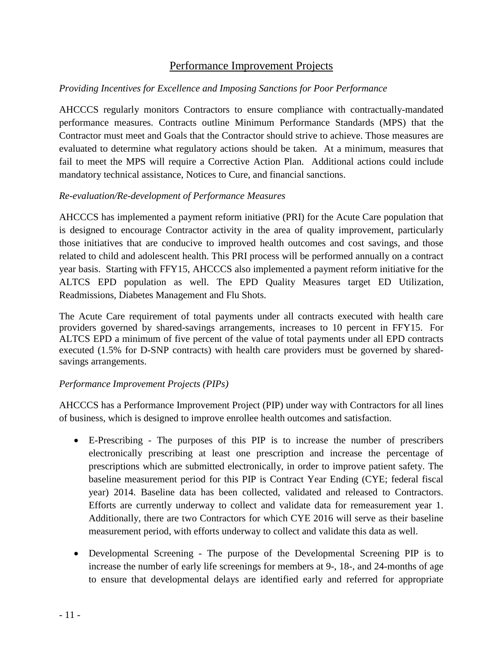# Performance Improvement Projects

# *Providing Incentives for Excellence and Imposing Sanctions for Poor Performance*

AHCCCS regularly monitors Contractors to ensure compliance with contractually-mandated performance measures. Contracts outline Minimum Performance Standards (MPS) that the Contractor must meet and Goals that the Contractor should strive to achieve. Those measures are evaluated to determine what regulatory actions should be taken. At a minimum, measures that fail to meet the MPS will require a Corrective Action Plan. Additional actions could include mandatory technical assistance, Notices to Cure, and financial sanctions.

# *Re-evaluation/Re-development of Performance Measures*

AHCCCS has implemented a payment reform initiative (PRI) for the Acute Care population that is designed to encourage Contractor activity in the area of quality improvement, particularly those initiatives that are conducive to improved health outcomes and cost savings, and those related to child and adolescent health. This PRI process will be performed annually on a contract year basis. Starting with FFY15, AHCCCS also implemented a payment reform initiative for the ALTCS EPD population as well. The EPD Quality Measures target ED Utilization, Readmissions, Diabetes Management and Flu Shots.

The Acute Care requirement of total payments under all contracts executed with health care providers governed by shared-savings arrangements, increases to 10 percent in FFY15. For ALTCS EPD a minimum of five percent of the value of total payments under all EPD contracts executed (1.5% for D-SNP contracts) with health care providers must be governed by sharedsavings arrangements.

# *Performance Improvement Projects (PIPs)*

AHCCCS has a Performance Improvement Project (PIP) under way with Contractors for all lines of business, which is designed to improve enrollee health outcomes and satisfaction.

- E-Prescribing The purposes of this PIP is to increase the number of prescribers electronically prescribing at least one prescription and increase the percentage of prescriptions which are submitted electronically, in order to improve patient safety. The baseline measurement period for this PIP is Contract Year Ending (CYE; federal fiscal year) 2014. Baseline data has been collected, validated and released to Contractors. Efforts are currently underway to collect and validate data for remeasurement year 1. Additionally, there are two Contractors for which CYE 2016 will serve as their baseline measurement period, with efforts underway to collect and validate this data as well.
- Developmental Screening The purpose of the Developmental Screening PIP is to increase the number of early life screenings for members at 9-, 18-, and 24-months of age to ensure that developmental delays are identified early and referred for appropriate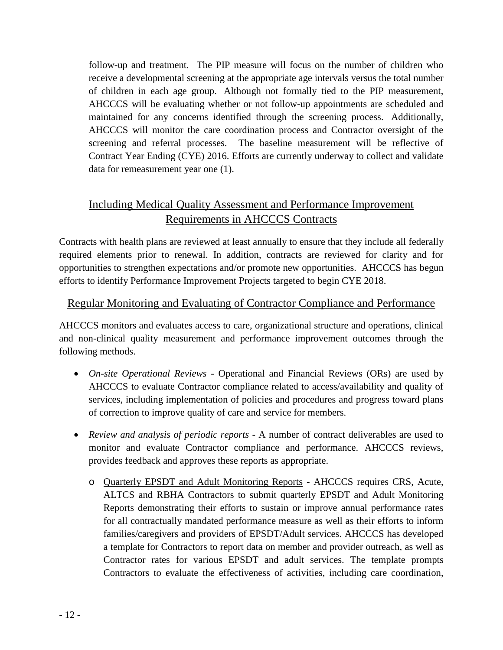follow-up and treatment. The PIP measure will focus on the number of children who receive a developmental screening at the appropriate age intervals versus the total number of children in each age group. Although not formally tied to the PIP measurement, AHCCCS will be evaluating whether or not follow-up appointments are scheduled and maintained for any concerns identified through the screening process. Additionally, AHCCCS will monitor the care coordination process and Contractor oversight of the screening and referral processes. The baseline measurement will be reflective of Contract Year Ending (CYE) 2016. Efforts are currently underway to collect and validate data for remeasurement year one (1).

# Including Medical Quality Assessment and Performance Improvement Requirements in AHCCCS Contracts

Contracts with health plans are reviewed at least annually to ensure that they include all federally required elements prior to renewal. In addition, contracts are reviewed for clarity and for opportunities to strengthen expectations and/or promote new opportunities. AHCCCS has begun efforts to identify Performance Improvement Projects targeted to begin CYE 2018.

# Regular Monitoring and Evaluating of Contractor Compliance and Performance

AHCCCS monitors and evaluates access to care, organizational structure and operations, clinical and non-clinical quality measurement and performance improvement outcomes through the following methods.

- *On-site Operational Reviews -* Operational and Financial Reviews (ORs) are used by AHCCCS to evaluate Contractor compliance related to access/availability and quality of services, including implementation of policies and procedures and progress toward plans of correction to improve quality of care and service for members.
- *Review and analysis of periodic reports -* A number of contract deliverables are used to monitor and evaluate Contractor compliance and performance. AHCCCS reviews, provides feedback and approves these reports as appropriate.
	- o Quarterly EPSDT and Adult Monitoring Reports AHCCCS requires CRS, Acute, ALTCS and RBHA Contractors to submit quarterly EPSDT and Adult Monitoring Reports demonstrating their efforts to sustain or improve annual performance rates for all contractually mandated performance measure as well as their efforts to inform families/caregivers and providers of EPSDT/Adult services. AHCCCS has developed a template for Contractors to report data on member and provider outreach, as well as Contractor rates for various EPSDT and adult services. The template prompts Contractors to evaluate the effectiveness of activities, including care coordination,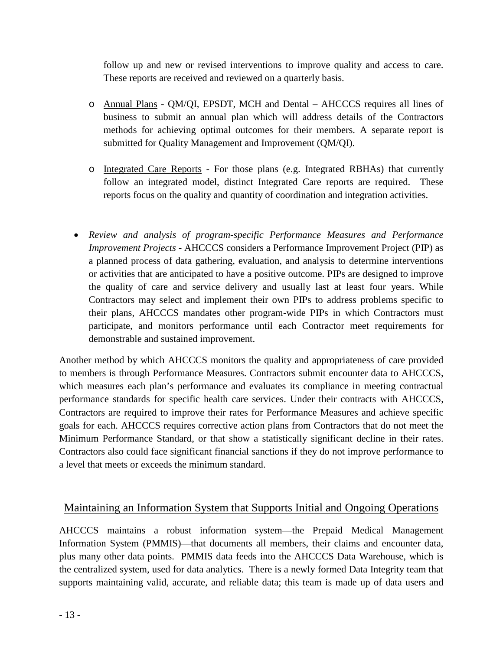follow up and new or revised interventions to improve quality and access to care. These reports are received and reviewed on a quarterly basis.

- o Annual Plans QM/QI, EPSDT, MCH and Dental AHCCCS requires all lines of business to submit an annual plan which will address details of the Contractors methods for achieving optimal outcomes for their members. A separate report is submitted for Quality Management and Improvement (QM/QI).
- o Integrated Care Reports For those plans (e.g. Integrated RBHAs) that currently follow an integrated model, distinct Integrated Care reports are required. These reports focus on the quality and quantity of coordination and integration activities.
- *Review and analysis of program-specific Performance Measures and Performance Improvement Projects -* AHCCCS considers a Performance Improvement Project (PIP) as a planned process of data gathering, evaluation, and analysis to determine interventions or activities that are anticipated to have a positive outcome. PIPs are designed to improve the quality of care and service delivery and usually last at least four years. While Contractors may select and implement their own PIPs to address problems specific to their plans, AHCCCS mandates other program-wide PIPs in which Contractors must participate, and monitors performance until each Contractor meet requirements for demonstrable and sustained improvement.

Another method by which AHCCCS monitors the quality and appropriateness of care provided to members is through Performance Measures. Contractors submit encounter data to AHCCCS, which measures each plan's performance and evaluates its compliance in meeting contractual performance standards for specific health care services. Under their contracts with AHCCCS, Contractors are required to improve their rates for Performance Measures and achieve specific goals for each. AHCCCS requires corrective action plans from Contractors that do not meet the Minimum Performance Standard, or that show a statistically significant decline in their rates. Contractors also could face significant financial sanctions if they do not improve performance to a level that meets or exceeds the minimum standard.

# Maintaining an Information System that Supports Initial and Ongoing Operations

AHCCCS maintains a robust information system—the Prepaid Medical Management Information System (PMMIS)—that documents all members, their claims and encounter data, plus many other data points. PMMIS data feeds into the AHCCCS Data Warehouse, which is the centralized system, used for data analytics. There is a newly formed Data Integrity team that supports maintaining valid, accurate, and reliable data; this team is made up of data users and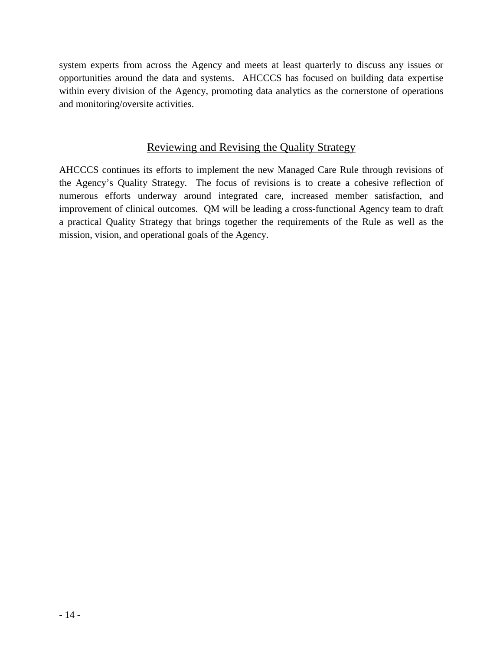system experts from across the Agency and meets at least quarterly to discuss any issues or opportunities around the data and systems. AHCCCS has focused on building data expertise within every division of the Agency, promoting data analytics as the cornerstone of operations and monitoring/oversite activities.

# Reviewing and Revising the Quality Strategy

AHCCCS continues its efforts to implement the new Managed Care Rule through revisions of the Agency's Quality Strategy. The focus of revisions is to create a cohesive reflection of numerous efforts underway around integrated care, increased member satisfaction, and improvement of clinical outcomes. QM will be leading a cross-functional Agency team to draft a practical Quality Strategy that brings together the requirements of the Rule as well as the mission, vision, and operational goals of the Agency.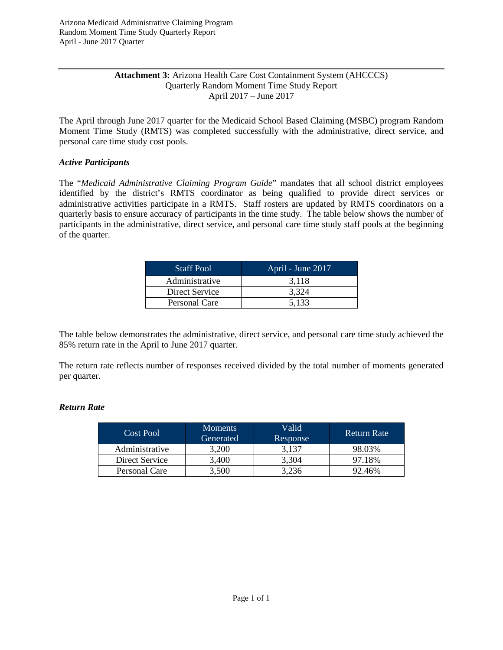### **Attachment 3:** Arizona Health Care Cost Containment System (AHCCCS) Quarterly Random Moment Time Study Report April 2017 – June 2017

The April through June 2017 quarter for the Medicaid School Based Claiming (MSBC) program Random Moment Time Study (RMTS) was completed successfully with the administrative, direct service, and personal care time study cost pools.

### *Active Participants*

The "*Medicaid Administrative Claiming Program Guide*" mandates that all school district employees identified by the district's RMTS coordinator as being qualified to provide direct services or administrative activities participate in a RMTS. Staff rosters are updated by RMTS coordinators on a quarterly basis to ensure accuracy of participants in the time study. The table below shows the number of participants in the administrative, direct service, and personal care time study staff pools at the beginning of the quarter.

| <b>Staff Pool</b> | April - June 2017 |
|-------------------|-------------------|
| Administrative    | 3.118             |
| Direct Service    | 3,324             |
| Personal Care     | 5,133             |

The table below demonstrates the administrative, direct service, and personal care time study achieved the 85% return rate in the April to June 2017 quarter.

The return rate reflects number of responses received divided by the total number of moments generated per quarter.

### *Return Rate*

| Cost Pool      | <b>Moments</b><br>Generated | Valid<br>Response | <b>Return Rate</b> |
|----------------|-----------------------------|-------------------|--------------------|
| Administrative | 3.200                       | 3.137             | 98.03%             |
| Direct Service | 3,400                       | 3,304             | 97.18%             |
| Personal Care  | 3.500                       | 3,236             | 92.46%             |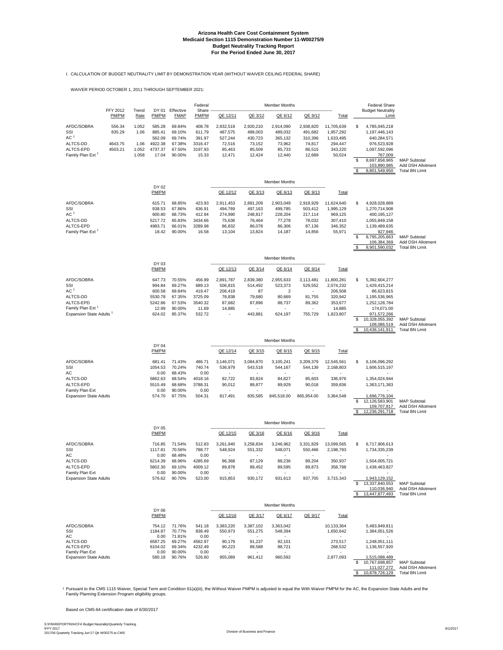# **Arizona Health Care Cost Containment System Medicaid Section 1115 Demonstration Number 11-W00275/9 Budget Neutrality Tracking Report For the Period Ended June 30, 2017**

I. CALCULATION OF BUDGET NEUTRALITY LIMIT BY DEMONSTRATION YEAR (WITHOUT WAIVER CEILING FEDERAL SHARE)

WAIVER PERIOD OCTOBER 1, 2011 THROUGH SEPTEMBER 2021:

|                                                  |                   |               |                    |                          | Federal            |                                    |                                    | <b>Member Months</b>               |                                    |                         |    | <b>Federal Share</b>              |                                            |
|--------------------------------------------------|-------------------|---------------|--------------------|--------------------------|--------------------|------------------------------------|------------------------------------|------------------------------------|------------------------------------|-------------------------|----|-----------------------------------|--------------------------------------------|
|                                                  | FFY 2012<br>PM/PM | Trend<br>Rate | DY 01<br>PM/PM     | Effective<br><b>FMAP</b> | Share<br>PM/PM     | QE 12/11                           | QE 3/12                            | QE 6/12                            | QE 9/12                            | Total                   |    | <b>Budget Neutrality</b><br>Limit |                                            |
| AFDC/SOBRA                                       | 556.34            | 1.052         | 585.28             | 69.84%                   | 408.78             | 2,932,519                          | 2,920,210                          | 2,914,090                          | 2,938,820                          | 11,705,639              | \$ | 4,785,045,218                     |                                            |
| SSI                                              | 835.29            | 1.06          | 885.41             | 69.10%                   | 611.79             | 487,575                            | 489,003                            | 489,032                            | 491,682                            | 1,957,292               |    | 1,197,446,143                     |                                            |
| AC <sup>1</sup><br>ALTCS-DD                      | 4643.75           | 1.06          | 562.09<br>4922.38  | 69.74%<br>67.38%         | 391.97<br>3316.47  | 527,244<br>72,516                  | 430,723<br>73,152                  | 365,132<br>73,962                  | 310,396<br>74,817                  | 1,633,495<br>294,447    |    | 640,284,571<br>976,523,928        |                                            |
| ALTCS-EPD                                        | 4503.21           | 1.052         | 4737.37            | 67.50%                   | 3197.93            | 85,463                             | 85,509                             | 85,733                             | 86,515                             | 343,220                 |    | 1,097,592,096                     |                                            |
| Family Plan Ext <sup>1</sup>                     |                   | 1.058         | 17.04              | 90.00%                   | 15.33              | 12,471                             | 12,424                             | 12,440                             | 12,689                             | 50,024                  |    | 767,009                           |                                            |
|                                                  |                   |               |                    |                          |                    |                                    |                                    |                                    |                                    |                         | \$ | 8,697,658,965<br>103,890,985      | <b>MAP Subtotal</b><br>Add DSH Allotment   |
|                                                  |                   |               |                    |                          |                    |                                    |                                    |                                    |                                    |                         | \$ | 8,801,549,950                     | <b>Total BN Limit</b>                      |
|                                                  |                   |               |                    |                          |                    |                                    |                                    | <b>Member Months</b>               |                                    |                         |    |                                   |                                            |
|                                                  |                   |               | DY 02<br>PM/PM     |                          |                    | QE 12/12                           | QE 3/13                            | QE 6/13                            | QE 9/13                            | Total                   |    |                                   |                                            |
| AFDC/SOBRA                                       |                   |               | 615.71             | 68.85%                   | 423.93             | 2,911,453                          | 2,891,209                          | 2,903,049                          | 2,918,929                          | 11,624,640              | \$ | 4,928,028,889                     |                                            |
| SSI                                              |                   |               | 938.53             | 67.86%                   | 636.91             | 494,769                            | 497,163                            | 499,785                            | 503,412                            | 1,995,129               |    | 1,270,714,908                     |                                            |
| AC <sup>1</sup>                                  |                   |               | 600.80             | 68.73%                   | 412.94             | 274.990                            | 248,817                            | 228,204                            | 217,114                            | 969,125                 |    | 400,195,127                       |                                            |
| ALTCS-DD<br>ALTCS-EPD                            |                   |               | 5217.72<br>4983.71 | 65.83%<br>66.01%         | 3434.66<br>3289.98 | 75,636<br>86,832                   | 76,464<br>86,078                   | 77,278<br>86,306                   | 78,032<br>87,136                   | 307,410<br>346,352      |    | 1,055,849,158<br>1,139,489,635    |                                            |
| Family Plan Ext <sup>1</sup>                     |                   |               | 18.42              | 90.00%                   | 16.58              | 13,104                             | 13,824                             | 14,187                             | 14,856                             | 55,971                  |    | 927,946                           |                                            |
|                                                  |                   |               |                    |                          |                    |                                    |                                    |                                    |                                    |                         | \$ | 8,795,205,663                     | <b>MAP Subtotal</b>                        |
|                                                  |                   |               |                    |                          |                    |                                    |                                    |                                    |                                    |                         | \$ | 106,384,369<br>8,901,590,032      | Add DSH Allotment<br><b>Total BN Limit</b> |
|                                                  |                   |               |                    |                          |                    |                                    |                                    | <b>Member Months</b>               |                                    |                         |    |                                   |                                            |
|                                                  |                   |               | DY 03<br>PM/PM     |                          |                    | QE 12/13                           | QE 3/14                            | QE 6/14                            | QE 9/14                            | Total                   |    |                                   |                                            |
|                                                  |                   |               |                    |                          |                    |                                    |                                    |                                    |                                    |                         |    |                                   |                                            |
| AFDC/SOBRA<br>SSI                                |                   |               | 647.73<br>994.84   | 70.55%<br>69.27%         | 456.99<br>689.13   | 2,891,787<br>506,815               | 2,839,380<br>514,492               | 2,955,633<br>523,373               | 3,113,481<br>529,552               | 11,800,281<br>2,074,232 | \$ | 5.392.604.277<br>1,429,415,214    |                                            |
| AC <sup>1</sup>                                  |                   |               | 600.58             | 69.84%                   | 419.47             | 206,419                            | 87                                 | $\overline{2}$                     |                                    | 206,508                 |    | 86,623,815                        |                                            |
| ALTCS-DD                                         |                   |               | 5530.78            | 67.35%                   | 3725.09            | 78,838                             | 79,680                             | 80,669                             | 81,755                             | 320,942                 |    | 1,195,536,965                     |                                            |
| ALTCS-EPD<br>Family Plan Ext <sup>1</sup>        |                   |               | 5242.86<br>12.99   | 67.53%<br>90.00%         | 3540.32<br>11.69   | 87,682<br>14,885                   | 87,896                             | 88,737                             | 89,362<br>$\overline{\phantom{a}}$ | 353,677<br>14,885       |    | 1,252,128,784<br>174,071.00       |                                            |
| Expansion State Adults <sup>1</sup>              |                   |               | 624.02             | 85.37%                   | 532.72             | ٠                                  | 443,881                            | 624,197                            | 755,729                            | 1,823,807               |    | 971,572,266                       |                                            |
|                                                  |                   |               |                    |                          |                    |                                    |                                    |                                    |                                    |                         | \$ | 10,328,055,392                    | <b>MAP Subtotal</b>                        |
|                                                  |                   |               |                    |                          |                    |                                    |                                    |                                    |                                    |                         |    | 108,086,519<br>10,436,141,911     | Add DSH Allotment<br><b>Total BN Limit</b> |
|                                                  |                   |               |                    |                          |                    |                                    |                                    | <b>Member Months</b>               |                                    |                         |    |                                   |                                            |
|                                                  |                   |               | DY 04<br>PM/PM     |                          |                    | QE 12/14                           | QE 3/15                            | QE 6/15                            | QE 9/15                            | Total                   |    |                                   |                                            |
|                                                  |                   |               |                    |                          |                    |                                    |                                    |                                    |                                    |                         | \$ |                                   |                                            |
| AFDC/SOBRA<br>SSI                                |                   |               | 681.41<br>1054.53  | 71.43%<br>70.24%         | 486.71<br>740.74   | 3,146,071<br>536,979               | 3,084,870<br>543,518               | 3,105,241<br>544,167               | 3,209,379<br>544,139               | 12,545,561<br>2,168,803 |    | 6,106,096,292<br>1,606,515,197    |                                            |
| AC                                               |                   |               | 0.00               | 68.43%                   | 0.00               | ٠                                  |                                    |                                    |                                    |                         |    |                                   |                                            |
| ALTCS-DD                                         |                   |               | 5862.63            | 68.54%                   | 4018.16            | 82,722                             | 83,824                             | 84,827                             | 85,603                             | 336,976                 |    | 1,354,024,944                     |                                            |
| ALTCS-EPD<br>Family Plan Ext                     |                   |               | 5515.49<br>0.00    | 68.68%<br>90.00%         | 3788.31<br>0.00    | 90,012                             | 89,877                             | 89,929                             | 90,018                             | 359,836                 |    | 1,363,171,363                     |                                            |
| <b>Expansion State Adults</b>                    |                   |               | 574.70             | 87.75%                   | 504.31             | 817,491                            | 835,585                            | 845,518.00                         | 865,954.00                         | 3,364,548               |    | 1,696,776,104                     |                                            |
|                                                  |                   |               |                    |                          |                    |                                    |                                    |                                    |                                    |                         | \$ | 12,126,583,901<br>109,707,817     | <b>MAP Subtotal</b><br>Add DSH Allotment   |
|                                                  |                   |               |                    |                          |                    |                                    |                                    |                                    |                                    |                         |    | 12,236,291,718                    | <b>Total BN Limit</b>                      |
|                                                  |                   |               | DY 05              |                          |                    |                                    |                                    | <b>Member Months</b>               |                                    |                         |    |                                   |                                            |
|                                                  |                   |               | PM/PM              |                          |                    | QE 12/15                           | QE 3/16                            | QE 6/16                            | QE 9/16                            | <b>Total</b>            |    |                                   |                                            |
| AFDC/SOBRA<br>SSI                                |                   |               | 716.85<br>1117.81  | 71.54%<br>70.56%         | 512.83<br>788.77   | 3,261,940<br>548,924               | 3,258,834<br>551,332               | 3,246,962<br>548,071               | 3,331,829<br>550,466               | 13,099,565<br>2,198,793 | \$ | 6,717,906,613<br>1,734,335,239    |                                            |
| AC                                               |                   |               | 0.00               | 68.48%                   | 0.00               | $\overline{\phantom{a}}$           |                                    |                                    |                                    |                         |    |                                   |                                            |
| ALTCS-DD                                         |                   |               | 6214.39            | 68.96%                   | 4285.69            | 86,368                             | 87,129                             | 88,236                             | 89,204                             | 350,937                 |    | 1,504,005,721                     |                                            |
| ALTCS-EPD<br>Family Plan Ext                     |                   |               | 5802.30<br>0.00    | 69.10%<br>90.00%         | 4009.12<br>0.00    | 89,878<br>$\overline{\phantom{a}}$ | 89,452<br>$\overline{\phantom{a}}$ | 89,595<br>$\overline{\phantom{a}}$ | 89,873                             | 358,798                 |    | 1,438,463,827                     |                                            |
| <b>Expansion State Adults</b>                    |                   |               | 576.62             | 90.70%                   | 523.00             | 915,853                            | 930,172                            | 931,613                            | 937,705                            | 3,715,343               |    | 1,943,129,152                     |                                            |
|                                                  |                   |               |                    |                          |                    |                                    |                                    |                                    |                                    |                         | \$ | 13,337,840,553<br>110,036,940     | <b>MAP Subtotal</b><br>Add DSH Allotment   |
|                                                  |                   |               |                    |                          |                    |                                    |                                    |                                    |                                    |                         |    | 13,447,877,493                    | <b>Total BN Limit</b>                      |
|                                                  |                   |               | DY 06              |                          |                    |                                    |                                    | <b>Member Months</b>               |                                    |                         |    |                                   |                                            |
|                                                  |                   |               | PM/PM              |                          |                    | QE 12/16                           | QE 3/17                            | QE 6/17                            | QE 9/17                            | Total                   |    |                                   |                                            |
| AFDC/SOBRA<br>SSI                                |                   |               | 754.12<br>1184.87  | 71.76%<br>70.77%         | 541.18<br>838.49   | 3,383,220<br>550,973               | 3,387,102<br>551,275               | 3,363,042<br>548,394               |                                    | 10,133,364<br>1,650,642 |    | 5,483,949,811<br>1,384,051,526    |                                            |
| AC<br>ALTCS-DD                                   |                   |               | 0.00<br>6587.25    | 71.81%<br>69.27%         | 0.00<br>4562.97    | 90,179                             | 91,237                             | 92,101                             |                                    | 273,517                 |    | 1,248,051,111                     |                                            |
| ALTCS-EPD                                        |                   |               | 6104.02            | 69.34%                   | 4232.49            | 90,223                             | 89,588                             | 88,721                             |                                    | 268,532                 |    | 1,136,557,920                     |                                            |
| Family Plan Ext<br><b>Expansion State Adults</b> |                   |               | 0.00<br>580.18     | 90.00%<br>90.76%         | 0.00<br>526.60     | $\sim$<br>955,089                  | $\sim$<br>961,412                  | $\sim$<br>960,592                  |                                    | 2,877,093               |    | 1,515,088,489                     |                                            |
|                                                  |                   |               |                    |                          |                    |                                    |                                    |                                    |                                    |                         | \$ | 10,767,698,857                    | <b>MAP Subtotal</b>                        |
|                                                  |                   |               |                    |                          |                    |                                    |                                    |                                    |                                    |                         | -S | 111,027,272<br>10,878,726,129     | Add DSH Allotment<br><b>Total BN Limit</b> |

1 Pursuant to the CMS 1115 Waiver, Special Term and Condition 61(a)(iii), the Without Waiver PMPM is adjusted to equal the With Waiver PMPM for the AC, the Expansion State Adults and the<br>Family Planning Extension Program e

Based on CMS-64 certification date of 6/30/2017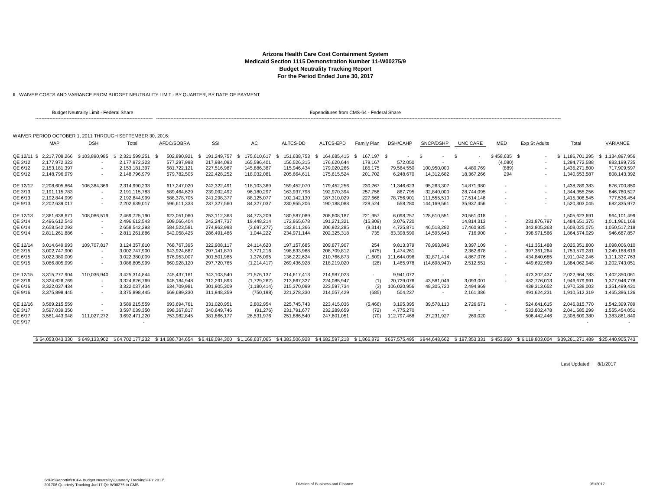II. WAIVER COSTS AND VARIANCE FROM BUDGET NEUTRALITY LIMIT - BY QUARTER, BY DATE OF PAYMENT

|                                              |                                                                                | <b>Budget Neutrality Limit - Federal Share</b> |                                                                          |                                                          |                                                          |                                                                |                                                                 | Expenditures from CMS-64 - Federal Share                    |                                             |                                                    |                                                        |                                                      |                                              |                                                          |                                                                    |                                                                  |
|----------------------------------------------|--------------------------------------------------------------------------------|------------------------------------------------|--------------------------------------------------------------------------|----------------------------------------------------------|----------------------------------------------------------|----------------------------------------------------------------|-----------------------------------------------------------------|-------------------------------------------------------------|---------------------------------------------|----------------------------------------------------|--------------------------------------------------------|------------------------------------------------------|----------------------------------------------|----------------------------------------------------------|--------------------------------------------------------------------|------------------------------------------------------------------|
|                                              |                                                                                |                                                | WAIVER PERIOD OCTOBER 1, 2011 THROUGH SEPTEMBER 30, 2016;                |                                                          |                                                          |                                                                |                                                                 |                                                             |                                             |                                                    |                                                        |                                                      |                                              |                                                          |                                                                    |                                                                  |
|                                              | <b>MAP</b>                                                                     | <b>DSH</b>                                     | Total                                                                    | <b>AFDC/SOBRA</b>                                        | <b>SSI</b>                                               | <u>АС</u>                                                      | <b>ALTCS-DD</b>                                                 | ALTCS-EPD                                                   | Family Plan                                 | DSH/CAHP                                           | SNCP/DSHP                                              | UNC CARE                                             | <b>MED</b>                                   | <b>Exp St Adults</b>                                     | Total                                                              | <b>VARIANCE</b>                                                  |
| QE 12/11 \$<br>QE 3/12<br>QE 6/12<br>QE 9/12 | 2,217,708,266 \$103,890,985<br>2.177.972.323<br>2,153,181,397<br>2,148,796,979 |                                                | 2,321,599,251<br>- \$<br>2.177.972.323<br>2,153,181,397<br>2,148,796,979 | 502,890,921<br>577.297.998<br>581,722,121<br>579,782,505 | 191.249.757<br>217.984.093<br>227,516,987<br>222,428,252 | 175.610.617<br>-S<br>165,596,401<br>145,886,387<br>118,032,081 | 151,638,753<br>-96<br>156.526.315<br>115,946,434<br>205,664,611 | 164,685,415 \$<br>176,620,644<br>179,020,266<br>175,615,524 | 167,197 \$<br>179,167<br>185,175<br>201,702 | 572,050<br>79,564,550<br>6,248,670                 | - \$<br>100,950,000<br>14,312,682                      | \$<br>4,480,769<br>18,367,266                        | $$458,635$ \$<br>(4,080)<br>(889)<br>294     |                                                          | \$1,186,701,295<br>1.294.772.588<br>1,435,271,800<br>1,340,653,587 | \$1,134,897,956<br>883,199,735<br>717,909,597<br>808,143,392     |
| QE 12/12<br>QE 3/13<br>QE 6/13<br>QE 9/13    | 2,208,605,864<br>2,191,115,783<br>2.192.844.999<br>2,202,639,017               | 106.384.369                                    | 2.314.990.233<br>2,191,115,783<br>2.192.844.999<br>2,202,639,017         | 617.247.020<br>589,464,629<br>588,378,705<br>596,611,333 | 242,322,491<br>239,092,492<br>241,298,377<br>237,327,560 | 118,103,369<br>96,180,297<br>88,125,077<br>84,327,037          | 159,452,070<br>163,937,798<br>102.142.130<br>230,955,206        | 179,452,256<br>192,970,394<br>187,310,029<br>190,188,088    | 230,267<br>257.756<br>227,668<br>228,524    | 11.346.623<br>867.795<br>78,756,901<br>558,280     | 95,263,307<br>32,840,000<br>111.555.510<br>144,169,561 | 14.871.980<br>28,744,095<br>17,514,148<br>35,937,456 | ٠                                            |                                                          | 1.438.289.383<br>1,344,355,256<br>1,415,308,545<br>1,520,303,045   | 876,700,850<br>846,760,527<br>777,536,454<br>682,335,972         |
| QE 12/13<br>QE 3/14<br>QE 6/14<br>QE 9/14    | 2,361,638,671<br>2,496,612,543<br>2.658.542.293<br>2,811,261,886               | 108,086,519                                    | 2,469,725,190<br>2,496,612,543<br>2.658.542.293<br>2,811,261,886         | 623,051,060<br>609.066.404<br>584.523.581<br>642,058,425 | 253,112,363<br>242.247.737<br>274.963.993<br>286,491,486 | 84,773,209<br>19,448,214<br>(3,697,277)<br>1,044,222           | 180,587,089<br>172.865.678<br>132.811.366<br>234,971,144        | 208,608,187<br>191,271,321<br>206,922,285<br>202,325,318    | 221,957<br>(15,809)<br>(9,314)<br>735       | 6,098,257<br>3.076.720<br>4,725,871<br>83,398,590  | 128,610,551<br>46,518,282<br>14,595,643                | 20,561,018<br>14,814,313<br>17,460,925<br>716,900    | $\sim$                                       | 231,876,797<br>343,805,363<br>398,971,566                | 1,505,623,691<br>1,484,651,375<br>1.608.025.075<br>1,864,574,029   | 964,101,499<br>1,011,961,168<br>1.050.517.218<br>946,687,857     |
| QE 12/14<br>QE 3/15<br>QE 6/15<br>QE 9/15    | 3,014,649,993<br>3,002,747,900<br>3,022,380,009<br>3,086,805,999               | 109,707,817                                    | 3,124,357,810<br>3,002,747,900<br>3,022,380,009<br>3,086,805,999         | 768,767,395<br>643,924,687<br>676,953,007<br>660,928,120 | 322,908,117<br>297,141,870<br>301,501,985<br>297,720,765 | 24,114,620<br>3,771,216<br>1,376,095<br>(1,214,417)            | 197, 157, 685<br>198,833,968<br>136,222,624<br>269,436,928      | 209,877,907<br>208,709,812<br>210,766,873<br>218,219,020    | 254<br>(475)<br>(1,609)<br>(26)             | 9,813,379<br>1.474.261<br>111,644,096<br>1,465,978 | 78,963,846<br>$\sim$<br>32,871,414<br>(14,698,940)     | 3,397,109<br>2,362,678<br>4,867,076<br>2,512,551     | $\overline{\phantom{a}}$<br>$\sim$<br>$\sim$ | 411,351,488<br>397,361,264<br>434,840,685<br>449,692,969 | 2,026,351,800<br>1,753,579,281<br>1,911,042,246<br>1,884,062,948   | 1,098,006,010<br>1,249,168,619<br>1,111,337,763<br>1,202,743,051 |
| QE 12/15<br>QE 3/16<br>QE 6/16<br>QE 9/16    | 3.315.277.904<br>3,324,626,769<br>3,322,037,434<br>3,375,898,445               | 110.036.940<br>$\overline{\phantom{a}}$        | 3.425.314.844<br>3.324.626.769<br>3,322,037,434<br>3,375,898,445         | 745.437.161<br>648,184,948<br>634.709.981<br>669,689,230 | 343,103,540<br>312,291,893<br>301,905,309<br>311,948,359 | 21,576,137<br>(1,729,262)<br>(1, 180, 414)<br>(750, 198)       | 214.617.413<br>213.667.327<br>215.370.099<br>221,278,330        | 214.987.023<br>224,085,947<br>223,597,734<br>214,057,429    | $\sim$<br>(1)<br>(3)<br>(685)               | 9.941.072<br>20,729,076<br>106,020,956<br>504,237  | 43.581.049<br>48,305,720<br>$\sim$                     | 3,093,001<br>2,494,969<br>2,161,386                  |                                              | 473,302,437<br>482,776,013<br>439,313,652<br>491,624,231 | 2.022.964.783<br>1.946.679.991<br>1,970,538,003<br>1,910,512,319   | 1,402,350,061<br>1,377,946,778<br>1,351,499,431<br>1,465,386,126 |
| QE 12/16<br>QE 3/17<br>QE 6/17<br>QE 9/17    | 3,589,215,559<br>3,597,039,350<br>3,581,443,948                                | 111,027,272                                    | 3,589,215,559<br>3,597,039,350<br>3,692,471,220                          | 693,694,761<br>698,367,817<br>753,982,845                | 331,020,951<br>340,649,746<br>381,866,177                | 2,802,954<br>(91, 276)<br>26,531,976                           | 225,745,743<br>231,791,677<br>251,886,540                       | 223,415,036<br>232,289,659<br>247,601,051                   | (5, 466)<br>(72)<br>(70)                    | 3,195,395<br>4,775,270<br>112,797,468              | 39,578,110<br>$\sim$<br>27,231,927                     | 2,726,671<br>$\sim$<br>269,020                       | $\sim$                                       | 524,641,615<br>533,802,478<br>506,442,446                | 2,046,815,770<br>2,041,585,299<br>2,308,609,380                    | 1,542,399,789<br>1,555,454,051<br>1,383,861,840                  |
|                                              | \$64.053.043.330                                                               | \$649.133.902                                  | \$64.702.177.232 \$14.686.734.654                                        |                                                          | \$6,418,094,300                                          | \$1.168.637.065                                                | \$4.383.506.928                                                 | \$4.682.597.218 \$1.866.872                                 |                                             | \$657,575,495                                      | \$944.648.662                                          | \$197.353.331                                        | \$453.960                                    | \$6,119,803,004                                          | \$39.261.271.489                                                   | \$25.440.905.743                                                 |

Last Updated: 8/1/2017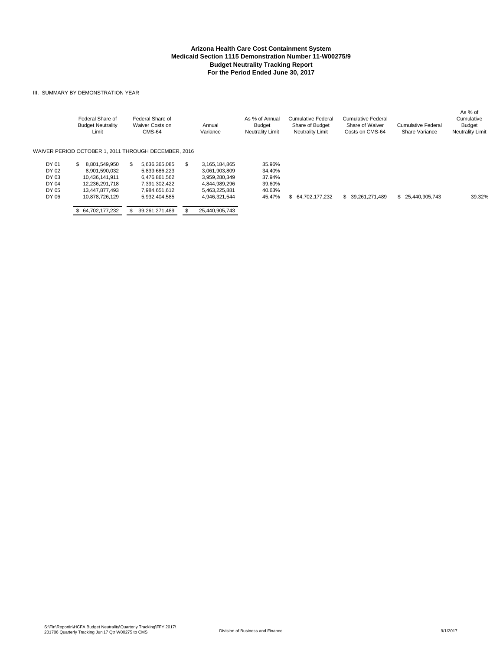#### III. SUMMARY BY DEMONSTRATION YEAR

|       | Federal Share of<br><b>Budget Neutrality</b><br>Limit | Federal Share of<br>Waiver Costs on<br><b>CMS-64</b> | Annual<br>Variance   | As % of Annual<br><b>Budget</b><br><b>Neutrality Limit</b> | Cumulative Federal<br>Share of Budget<br><b>Neutrality Limit</b> | Cumulative Federal<br>Share of Waiver<br>Costs on CMS-64 | <b>Cumulative Federal</b><br>Share Variance | As % of<br>Cumulative<br><b>Budget</b><br><b>Neutrality Limit</b> |
|-------|-------------------------------------------------------|------------------------------------------------------|----------------------|------------------------------------------------------------|------------------------------------------------------------------|----------------------------------------------------------|---------------------------------------------|-------------------------------------------------------------------|
|       | WAIVER PERIOD OCTOBER 1, 2011 THROUGH DECEMBER, 2016  |                                                      |                      |                                                            |                                                                  |                                                          |                                             |                                                                   |
| DY 01 | 8.801.549.950<br>SS.                                  | 5.636.365.085                                        | 3.165.184.865<br>\$. | 35.96%                                                     |                                                                  |                                                          |                                             |                                                                   |
| DY 02 | 8.901.590.032                                         | 5.839.686.223                                        | 3,061,903,809        | 34.40%                                                     |                                                                  |                                                          |                                             |                                                                   |
| DY 03 | 10.436.141.911                                        | 6,476,861,562                                        | 3,959,280,349        | 37.94%                                                     |                                                                  |                                                          |                                             |                                                                   |
| DY 04 | 12,236,291,718                                        | 7,391,302,422                                        | 4,844,989,296        | 39.60%                                                     |                                                                  |                                                          |                                             |                                                                   |
| DY 05 | 13.447.877.493                                        | 7.984.651.612                                        | 5.463.225.881        | 40.63%                                                     |                                                                  |                                                          |                                             |                                                                   |
| DY 06 | 10.878.726.129                                        | 5.932.404.585                                        | 4.946.321.544        | 45.47%                                                     | \$ 64,702,177,232                                                | \$ 39.261.271.489                                        | 25.440.905.743<br>\$                        | 39.32%                                                            |
|       | 64.702.177.232                                        | 39.261.271.489                                       | 25.440.905.743       |                                                            |                                                                  |                                                          |                                             |                                                                   |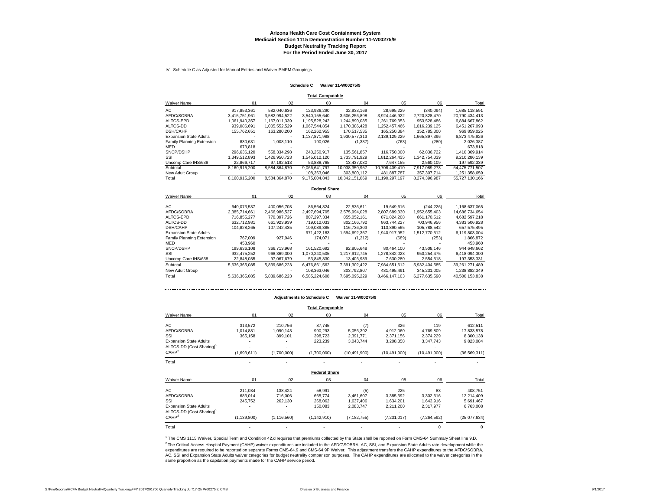IV. Schedule C as Adjusted for Manual Entries and Waiver PMPM Groupings

#### **Schedule C Waiver 11-W00275/9**

| <b>Total Computable</b> |  |
|-------------------------|--|
|-------------------------|--|

| <b>Waiver Name</b>            | 01            | 02            | 03                   | 04             | 05             | 06            | Total          |
|-------------------------------|---------------|---------------|----------------------|----------------|----------------|---------------|----------------|
| AC                            | 917,853,361   | 582,040,636   | 123,936,290          | 32,933,169     | 28,695,229     | (340,094)     | 1,685,118,591  |
| AFDC/SOBRA                    | 3.415.751.961 | 3.582.994.522 | 3.540.155.640        | 3.606.256.898  | 3.924.446.922  | 2.720.828.470 | 20.790.434.413 |
| ALTCS-EPD                     | 1,061,940,357 | 1,167,011,339 | 1,195,528,242        | 1.244.890.085  | 1,261,769,353  | 953.528.486   | 6,884,667,862  |
| ALTCS-DD                      | 939.086.691   | 1.005.552.529 | 1,067,544,854        | 1.170.386.428  | 1.252.457.466  | 1.016.239.125 | 6.451.267.093  |
| <b>DSH/CAHP</b>               | 155,762,651   | 163,280,200   | 162,262,955          | 170,517,535    | 165,250,384    | 152,785,300   | 969,859,025    |
| <b>Expansion State Adults</b> |               |               | 1.137.871.988        | 1.930.577.313  | 2.139.129.229  | 1.665.897.396 | 6.873.475.926  |
| Family Planning Extension     | 830.631       | 1.008.110     | 190.026              | (1,337)        | (763)          | (280)         | 2,026,387      |
| MED                           | 673.818       |               |                      |                |                |               | 673,818        |
| SNCP/DSHP                     | 296.636.120   | 558.334.298   | 240.250.917          | 135.561.857    | 116.750.000    | 62.836.722    | 1.410.369.914  |
| SSI                           | 1.349.512.893 | 1,426,950,723 | 1,545,012,120        | 1,733,791,929  | 1,812,264,435  | 1,342,754,039 | 9,210,286,139  |
| Uncomp Care IHS/638           | 22.866.717    | 97.192.513    | 53.888.765           | 13.437.080     | 7.647.155      | 2,560,109     | 197,592,339    |
| Subtotal                      | 8.160.915.200 | 8,584,364,870 | 9,066,641,797        | 10,038,350,957 | 10,708,409,410 | 7,917,089,273 | 54,475,771,507 |
| New Adult Group               |               |               | 108.363.046          | 303.800.112    | 481.887.787    | 357.307.714   | 1.251.358.659  |
| Total                         | 8,160,915,200 | 8.584.364.870 | 9.175.004.843        | 10.342.151.069 | 11.190.297.197 | 8.274.396.987 | 55,727,130,166 |
|                               |               |               | <b>Federal Share</b> |                |                |               |                |
| <b>Waiver Name</b>            | 01            | 02            | 03                   | 04             | 05             | 06            | Total          |
|                               |               |               |                      |                |                |               |                |

| Waiver Name                   | U1            | U2            | U3            | 04            | U5            | U6            | Total          |
|-------------------------------|---------------|---------------|---------------|---------------|---------------|---------------|----------------|
|                               |               |               |               |               |               |               |                |
| AC                            | 640.073.537   | 400.056.703   | 86.564.824    | 22.536.611    | 19.649.616    | (244, 226)    | 1.168.637.065  |
| AFDC/SOBRA                    | 2.385.714.661 | 2.466.986.527 | 2.497.694.705 | 2.575.994.028 | 2.807.689.330 | 1.952.655.403 | 14.686.734.654 |
| ALTCS-EPD                     | 716.855.277   | 770.397.726   | 807.297.334   | 855.052.161   | 871.824.208   | 661.170.512   | 4.682.597.218  |
| <b>ALTCS-DD</b>               | 632.712.981   | 661.923.939   | 719.012.033   | 802.166.792   | 863.744.227   | 703.946.956   | 4.383.506.928  |
| <b>DSH/CAHP</b>               | 104.828.265   | 107.242.435   | 109.089.385   | 116.736.303   | 113.890.565   | 105.788.542   | 657.575.495    |
| <b>Expansion State Adults</b> |               |               | 971.422.183   | 1.694.692.357 | 1.940.917.952 | 1.512.770.512 | 6,119,803,004  |
| Family Planning Extension     | 767.009       | 927.946       | 174.071       | (1,212)       | (689)         | (253)         | 1.866.872      |
| MED                           | 453.960       |               |               |               |               |               | 453.960        |
| SNCP/DSHP                     | 199.636.108   | 366.713.968   | 161.520.692   | 92.805.648    | 80.464.100    | 43.508.146    | 944.648.662    |
| SSI                           | 932.475.252   | 968.369.300   | 1.070.240.505 | 1.217.912.745 | 1.278.842.023 | 950.254.475   | 6,418,094,300  |
| Uncomp Care IHS/638           | 22.848.035    | 97.067.679    | 53.845.830    | 13,406,989    | 7.630.280     | 2.554.518     | 197.353.331    |
| Subtotal                      | 5.636.365.085 | 5.839.686.223 | 6.476.861.562 | 7.391.302.422 | 7.984.651.612 | 5.932.404.585 | 39.261.271.489 |
| New Adult Group               |               |               | 108.363.046   | 303.792.807   | 481.495.491   | 345.231.005   | 1.238.882.349  |
| Total                         | 5.636.365.085 | 5.839.686.223 | 6.585.224.608 | 7.695.095.229 | 8.466.147.103 | 6.277.635.590 | 40.500.153.838 |
|                               |               |               |               |               |               |               |                |

#### **Adjustments to Schedule C Waiver 11-W00275/9**

**Total Computable**

|                                      |               |               | <b>TURE OUTSPARED</b> |                |                |                |                |
|--------------------------------------|---------------|---------------|-----------------------|----------------|----------------|----------------|----------------|
| Waiver Name                          | 01            | 02            | 03                    | 04             | 05             | 06             | Total          |
| AС                                   | 313,572       | 210,756       | 87,745                | (7)            | 326            | 119            | 612,511        |
| AFDC/SOBRA                           | 1,014,881     | 1,090,143     | 990,293               | 5,056,392      | 4,912,060      | 4,769,809      | 17,833,578     |
| SSI                                  | 365,158       | 399,101       | 398,723               | 2,391,771      | 2,371,156      | 2,374,229      | 8,300,138      |
| <b>Expansion State Adults</b>        |               |               | 223,239               | 3,043,744      | 3,208,358      | 3,347,743      | 9,823,084      |
| ALTCS-DD (Cost Sharing) <sup>1</sup> |               |               |                       |                |                |                |                |
| CAHP <sup>2</sup>                    | (1,693,611)   | (1,700,000)   | (1,700,000)           | (10, 491, 900) | (10, 491, 900) | (10, 491, 900) | (36, 569, 311) |
| Total                                |               |               |                       |                |                |                |                |
|                                      |               |               | <b>Federal Share</b>  |                |                |                |                |
| Waiver Name                          | 01            | 02            | 03                    | 04             | 05             | 06             | Total          |
| AС                                   | 211,034       | 138,424       | 58,991                | (5)            | 225            | 83             | 408,751        |
| AFDC/SOBRA                           | 683,014       | 716,006       | 665,774               | 3,461,607      | 3,385,392      | 3,302,616      | 12,214,409     |
| SSI                                  | 245,752       | 262,130       | 268,062               | 1,637,406      | 1,634,201      | 1,643,916      | 5,691,467      |
| <b>Expansion State Adults</b>        |               |               | 150,083               | 2,083,747      | 2,211,200      | 2,317,977      | 6,763,008      |
| ALTCS-DD (Cost Sharing) <sup>1</sup> |               |               |                       |                |                |                |                |
| $CAHP^2$                             | (1, 139, 800) | (1, 116, 560) | (1, 142, 910)         | (7, 182, 755)  | (7,231,017)    | (7, 264, 592)  | (25,077,634)   |
| Total                                |               |               |                       |                |                |                | 0              |

<sup>2</sup> The Critical Access Hospital Payment (CAHP) waiver expenditures are included in the AFDC\SOBRA, AC, SSI, and Expansion State Adults rate development while the<br>expenditures are required to be reported on separate Forms AC, SSI and Expansion State Adults waiver categories for budget neutrality comparison purposes. The CAHP expenditures are allocated to the waiver categories in the same proportion as the capitation payments made for the CAHP service period. <sup>1</sup> The CMS 1115 Waiver, Special Term and Condition 42,d requires that premiums collected by the State shall be reported on Form CMS-64 Summary Sheet line 9,D.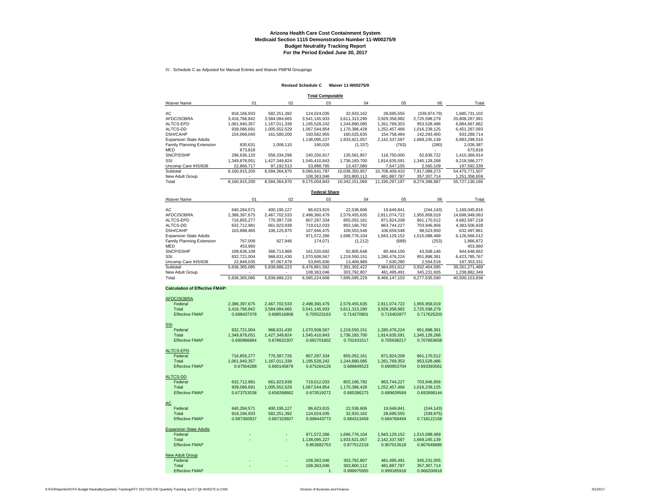#### **Arizona Health Care Cost Containment System Medicaid Section 1115 Demonstration Number 11-W00275/9 Budget Neutrality Tracking Report For the Period Ended June 30, 2017**

IV. Schedule C as Adjusted for Manual Entries and Waiver PMPM Groupings

#### **Revised Schedule C Waiver 11-W00275/9**

| <b>Total Computable</b>       |                               |               |                      |                |                |                    |                |  |  |  |
|-------------------------------|-------------------------------|---------------|----------------------|----------------|----------------|--------------------|----------------|--|--|--|
| <b>Waiver Name</b>            | 01                            | 02            | 03                   | 04             | 05             | 06                 | Total          |  |  |  |
|                               |                               |               |                      |                |                |                    |                |  |  |  |
| AC                            | 918, 166, 933                 | 582.251.392   | 124.024.035          | 32,933,162     | 28,695,555     | (339.974.79)       | 1,685,731,102  |  |  |  |
| AFDC/SOBRA                    | 3.416.766.842                 | 3,584,084,665 | 3,541,145,933        | 3,611,313,290  | 3,929,358,982  | 2,725,598,279      | 20,808,267,991 |  |  |  |
| ALTCS-EPD                     | 1,061,940,357                 | 1,167,011,339 | 1,195,528,242        | 1,244,890,085  | 1,261,769,353  | 953,528,486        | 6,884,667,862  |  |  |  |
| ALTCS-DD                      | 939,086,691                   | 1,005,552,529 | 1,067,544,854        | 1,170,386,428  | 1,252,457,466  | 1,016,239,125      | 6,451,267,093  |  |  |  |
| <b>DSH/CAHP</b>               | 154.069.040                   | 161,580,200   | 160,562,955          | 160.025.635    | 154.758.484    | 142.293.400        | 933.289.714    |  |  |  |
| <b>Expansion State Adults</b> |                               |               | 1,138,095,227        | 1,933,621,057  | 2,142,337,587  | 1,669,245,139      | 6,883,299,010  |  |  |  |
| Family Planning Extension     | 830.631                       | 1.008.110     | 190,026              | (1,337)        | (763)          | (280)              | 2,026,387      |  |  |  |
| MED                           | 673.818                       |               |                      |                |                |                    | 673.818        |  |  |  |
| SNCP/DSHP                     | 296,636,120                   | 558,334,298   | 240.250.917          | 135.561.857    | 116,750,000    | 62,836,722         | 1,410,369,914  |  |  |  |
| SSI                           | 1.349.878.051                 | 1,427,349,824 | 1,545,410,843        | 1,736,183,700  | 1,814,635,591  | 1,345,128,268      | 9,218,586,277  |  |  |  |
| Uncomp Care IHS/638           | 22,866,717                    | 97,192,513    | 53,888,765           | 13,437,080     | 7.647.155      | 2,560,109          | 197,592,339    |  |  |  |
| Subtotal                      | 8.160.915.200                 | 8,584,364,870 | 9.066.641.797        | 10.038.350.957 | 10.708.409.410 | 7.917.089.273      | 54.475.771.507 |  |  |  |
| New Adult Group               |                               |               | 108,363,046          | 303,800,112    | 481,887,787    | 357, 307, 714      | 1,251,358,659  |  |  |  |
| Total                         | 8,160,915,200                 | 8,584,364,870 | 9.175.004.843        | 10.342.151.069 | 11,190,297,197 | 8,274,396,987      | 55,727,130,166 |  |  |  |
|                               |                               |               | <b>Federal Share</b> |                |                |                    |                |  |  |  |
| <b>Waiver Name</b>            | 01                            | 02            | 03                   | 04             | 05             | 06                 | Total          |  |  |  |
| AC                            | 640,284,571                   | 400,195,127   | 86,623,815           | 22,536,606     | 19,649,841     | (244, 143)         | 1,169,045,816  |  |  |  |
| AFDC/SOBRA                    | 2,386,397,675                 | 2,467,702,533 | 2,498,360,479        | 2,579,455,635  | 2,811,074,722  | 1,955,958,019      | 14,698,949,063 |  |  |  |
| ALTCS-EPD                     | 716,855,277                   | 770,397,726   | 807,297,334          | 855,052,161    | 871,824,208    | 661,170,512        | 4,682,597,218  |  |  |  |
| ALTOR DD                      | <b>C<sub>22</sub></b> 712 001 | EE1 022.020   | <b>710.012.022</b>   | 002.400, 702   | 0007744227     | <b>702 DAC OFC</b> | 1.292 EAC020   |  |  |  |

| ALICS-EPD                     | (16.855.2)    | 770.397.726   | 807.297.334   | 855.052.161   | 871.824.208   | 661.170.512   | 4.682.597.218  |
|-------------------------------|---------------|---------------|---------------|---------------|---------------|---------------|----------------|
| ALTCS-DD                      | 632.712.981   | 661.923.939   | 719.012.033   | 802.166.792   | 863.744.227   | 703.946.956   | 4.383.506.928  |
| DSH/CAHP                      | 103.688.465   | 106.125.875   | 107.946.475   | 109.553.548   | 106.659.548   | 98.523.950    | 632.497.861    |
| <b>Expansion State Adults</b> |               |               | 971.572.266   | 1.696.776.104 | 1.943.129.152 | 1.515.088.489 | 6.126.566.012  |
| Family Planning Extension     | 767.009       | 927.946       | 174.071       | (1,212)       | (689)         | (253)         | 1.866.872      |
| <b>MED</b>                    | 453.960       |               |               |               |               |               | 453.960        |
| SNCP/DSHP                     | 199.636.108   | 366.713.968   | 161.520.692   | 92.805.648    | 80.464.100    | 43.508.146    | 944.648.662    |
| SSI                           | 932.721.004   | 968.631.430   | 1.070.508.567 | 1.219.550.151 | 1.280.476.224 | 951.898.391   | 6.423.785.767  |
| Uncomp Care IHS/638           | 22.848.035    | 97.067.679    | 53.845.830    | 13,406,989    | 7.630.280     | 2.554.518     | 197.353.331    |
| Subtotal                      | 5.636.365.085 | 5.839.686.223 | 6.476.861.562 | 7.391.302.422 | 7.984.651.612 | 5.932.404.585 | 39.261.271.489 |
| New Adult Group               |               |               | 108.363.046   | 303.792.807   | 481.495.491   | 345.231.005   | .238.882.349   |
| Total                         | 5.636.365.085 | 5.839.686.223 | 6.585.224.608 | 7.695.095.229 | 8.466.147.103 | 6.277.635.590 | 40.500.153.838 |

#### **Calculation of Effective FMAP:**

| AFDC/SOBRA                    |               |               |               |               |               |               |  |
|-------------------------------|---------------|---------------|---------------|---------------|---------------|---------------|--|
| Federal                       | 2,386,397,675 | 2,467,702,533 | 2,498,360,479 | 2,579,455,635 | 2,811,074,722 | 1,955,958,019 |  |
| Total                         | 3,416,766,842 | 3,584,084,665 | 3,541,145,933 | 3,611,313,290 | 3,929,358,982 | 2.725.598.279 |  |
| <b>Effective FMAP</b>         | 0.698437378   | 0.688516808   | 0.705523163   | 0.714270801   | 0.715402877   | 0.717625203   |  |
|                               |               |               |               |               |               |               |  |
| SSI                           |               |               |               |               |               |               |  |
| Federal                       | 932,721,004   | 968,631,430   | 1,070,508,567 | 1,219,550,151 | 1,280,476,224 | 951,898,391   |  |
| Total                         | 1,349,878,051 | 1,427,349,824 | 1,545,410,843 | 1,736,183,700 | 1,814,635,591 | 1,345,128,268 |  |
| <b>Effective FMAP</b>         | 0.690966864   | 0.678622307   | 0.692701602   | 0.702431517   | 0.705638217   | 0.707663658   |  |
| ALTCS-EPD                     |               |               |               |               |               |               |  |
| Federal                       | 716,855,277   | 770,397,726   | 807,297,334   | 855,052,161   | 871,824,208   | 661,170,512   |  |
| Total                         | 1.061.940.357 | 1.167.011.339 | 1.195.528.242 | 1.244.890.085 | 1.261.769.353 | 953.528.486   |  |
| <b>Effective FMAP</b>         | 0.67504288    | 0.660145879   | 0.675264126   | 0.686849523   | 0.690953704   | 0.693393561   |  |
|                               |               |               |               |               |               |               |  |
| ALTCS-DD                      |               |               |               |               |               |               |  |
| Federal                       | 632,712,981   | 661,923,939   | 719,012,033   | 802,166,792   | 863,744,227   | 703.946.956   |  |
| Total                         | 939,086,691   | 1,005,552,529 | 1,067,544,854 | 1,170,386,428 | 1,252,457,466 | 1,016,239,125 |  |
| <b>Effective FMAP</b>         | 0.673753538   | 0.658268882   | 0.673519272   | 0.685386273   | 0.689639569   | 0.692698144   |  |
|                               |               |               |               |               |               |               |  |
| AС                            |               |               |               |               |               |               |  |
| Federal                       | 640,284,571   | 400,195,127   | 86,623,815    | 22,536,606    | 19,649,841    | (244, 143)    |  |
| Total                         | 918, 166, 933 | 582,251,392   | 124,024,035   | 32,933,162    | 28,695,555    | (339, 975)    |  |
| <b>Effective FMAP</b>         | 0.697350937   | 0.687323607   | 0.698443773   | 0.684313459   | 0.684769494   | 0.718122158   |  |
| <b>Expansion State Adults</b> |               |               |               |               |               |               |  |
| Federal                       |               |               | 971,572,266   | 1,696,776,104 | 1,943,129,152 | 1,515,088,489 |  |
| Total                         |               |               | 1,138,095,227 | 1.933.621.057 | 2.142.337.587 | 1.669.245.139 |  |
| <b>Effective FMAP</b>         |               |               | 0.853682753   | 0.877512219   | 0.907013518   | 0.907648885   |  |
|                               |               |               |               |               |               |               |  |
| New Adult Group               |               |               |               |               |               |               |  |
| Federal                       |               |               | 108,363,046   | 303,792,807   | 481,495,491   | 345,231,005   |  |
| Total                         |               |               | 108.363.046   | 303.800.112   | 481.887.787   | 357.307.714   |  |
| <b>Effective FMAP</b>         |               |               |               | 0.999975955   | 0.999185918   | 0.966200816   |  |
|                               |               |               |               |               |               |               |  |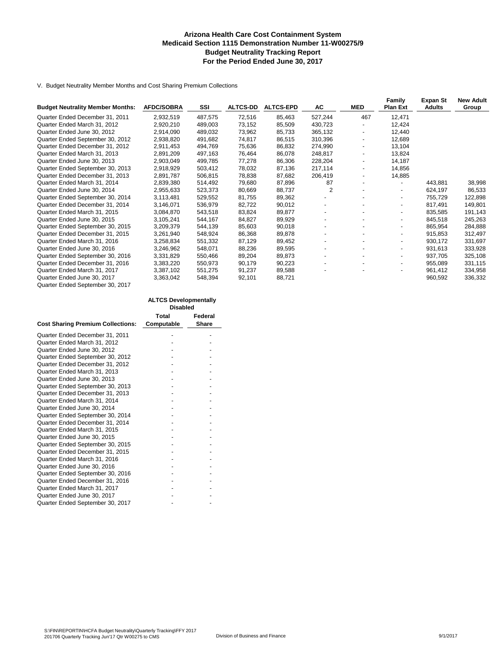#### **Arizona Health Care Cost Containment System Medicaid Section 1115 Demonstration Number 11-W00275/9 Budget Neutrality Tracking Report For the Period Ended June 30, 2017**

V. Budget Neutrality Member Months and Cost Sharing Premium Collections

| <b>Budget Neutrality Member Months:</b>                         | <b>AFDC/SOBRA</b> | SSI     | <b>ALTCS-DD</b> | <b>ALTCS-EPD</b> | AC             | <b>MED</b>               | Family<br><b>Plan Ext</b> | Expan St<br><b>Adults</b> | <b>New Adult</b><br>Group |
|-----------------------------------------------------------------|-------------------|---------|-----------------|------------------|----------------|--------------------------|---------------------------|---------------------------|---------------------------|
| Quarter Ended December 31, 2011                                 | 2,932,519         | 487,575 | 72,516          | 85,463           | 527,244        | 467                      | 12,471                    |                           |                           |
| Quarter Ended March 31, 2012                                    | 2,920,210         | 489,003 | 73,152          | 85,509           | 430,723        |                          | 12,424                    |                           |                           |
| Quarter Ended June 30, 2012                                     | 2,914,090         | 489,032 | 73,962          | 85,733           | 365,132        | $\overline{\phantom{a}}$ | 12,440                    |                           |                           |
| Quarter Ended September 30, 2012                                | 2,938,820         | 491,682 | 74,817          | 86,515           | 310,396        | $\overline{\phantom{a}}$ | 12,689                    |                           |                           |
| Quarter Ended December 31, 2012                                 | 2,911,453         | 494,769 | 75,636          | 86,832           | 274,990        | $\overline{\phantom{a}}$ | 13,104                    |                           |                           |
| Quarter Ended March 31, 2013                                    | 2,891,209         | 497,163 | 76,464          | 86,078           | 248,817        |                          | 13,824                    |                           |                           |
| Quarter Ended June 30, 2013                                     | 2,903,049         | 499,785 | 77,278          | 86,306           | 228,204        |                          | 14,187                    |                           |                           |
| Quarter Ended September 30, 2013                                | 2,918,929         | 503,412 | 78,032          | 87,136           | 217,114        | $\overline{\phantom{a}}$ | 14,856                    |                           |                           |
| Quarter Ended December 31, 2013                                 | 2,891,787         | 506,815 | 78,838          | 87,682           | 206,419        | $\overline{\phantom{a}}$ | 14,885                    |                           |                           |
| Quarter Ended March 31, 2014                                    | 2,839,380         | 514,492 | 79,680          | 87,896           | 87             |                          | $\blacksquare$            | 443,881                   | 38,998                    |
| Quarter Ended June 30, 2014                                     | 2,955,633         | 523,373 | 80,669          | 88,737           | $\overline{2}$ |                          | $\overline{\phantom{a}}$  | 624,197                   | 86,533                    |
| Quarter Ended September 30, 2014                                | 3,113,481         | 529,552 | 81,755          | 89,362           |                |                          | -                         | 755.729                   | 122,898                   |
| Quarter Ended December 31, 2014                                 | 3,146,071         | 536,979 | 82,722          | 90,012           |                |                          | -                         | 817,491                   | 149,801                   |
| Quarter Ended March 31, 2015                                    | 3,084,870         | 543,518 | 83,824          | 89,877           |                |                          | $\overline{\phantom{a}}$  | 835,585                   | 191,143                   |
| Quarter Ended June 30, 2015                                     | 3,105,241         | 544,167 | 84,827          | 89,929           |                | $\overline{\phantom{a}}$ | ٠                         | 845,518                   | 245,263                   |
| Quarter Ended September 30, 2015                                | 3,209,379         | 544,139 | 85,603          | 90,018           |                |                          | ۰.                        | 865,954                   | 284,888                   |
| Quarter Ended December 31, 2015                                 | 3,261,940         | 548,924 | 86,368          | 89,878           |                |                          | ۰.                        | 915.853                   | 312,497                   |
| Quarter Ended March 31, 2016                                    | 3,258,834         | 551,332 | 87,129          | 89,452           |                |                          | ٠                         | 930,172                   | 331,697                   |
| Quarter Ended June 30, 2016                                     | 3,246,962         | 548,071 | 88,236          | 89,595           |                |                          | ۰.                        | 931.613                   | 333,928                   |
| Quarter Ended September 30, 2016                                | 3,331,829         | 550,466 | 89,204          | 89,873           |                |                          | $\overline{\phantom{0}}$  | 937,705                   | 325,108                   |
| Quarter Ended December 31, 2016                                 | 3,383,220         | 550,973 | 90,179          | 90,223           |                |                          | ۰.                        | 955,089                   | 331,115                   |
| Quarter Ended March 31, 2017                                    | 3,387,102         | 551,275 | 91,237          | 89,588           |                |                          | -                         | 961,412                   | 334,958                   |
| Quarter Ended June 30, 2017<br>Quarter Ended September 30, 2017 | 3,363,042         | 548,394 | 92,101          | 88,721           |                |                          |                           | 960,592                   | 336,332                   |

|                                          | <b>Disabled</b> |         |
|------------------------------------------|-----------------|---------|
|                                          | Total           | Federal |
| <b>Cost Sharing Premium Collections:</b> | Computable      | Share   |
| Quarter Ended December 31, 2011          |                 |         |
| Quarter Ended March 31, 2012             |                 |         |
| Quarter Ended June 30, 2012              |                 |         |
| Quarter Ended September 30, 2012         |                 |         |
| Quarter Ended December 31, 2012          |                 |         |
| Quarter Ended March 31, 2013             |                 |         |
| Quarter Ended June 30, 2013              |                 |         |
| Quarter Ended September 30, 2013         |                 |         |
| Quarter Ended December 31, 2013          |                 |         |
| Quarter Ended March 31, 2014             |                 |         |
| Quarter Ended June 30, 2014              |                 |         |
| Quarter Ended September 30, 2014         |                 |         |
| Quarter Ended December 31, 2014          |                 |         |
| Quarter Ended March 31, 2015             |                 |         |
| Quarter Ended June 30, 2015              |                 |         |
| Quarter Ended September 30, 2015         |                 |         |
| Quarter Ended December 31, 2015          |                 |         |
| Quarter Ended March 31, 2016             |                 |         |
| Quarter Ended June 30, 2016              |                 |         |
| Quarter Ended September 30, 2016         |                 |         |
| Quarter Ended December 31, 2016          |                 |         |
| Quarter Ended March 31, 2017             |                 |         |
| Quarter Ended June 30, 2017              |                 |         |
| Quarter Ended September 30, 2017         |                 |         |

**ALTCS Developmentally**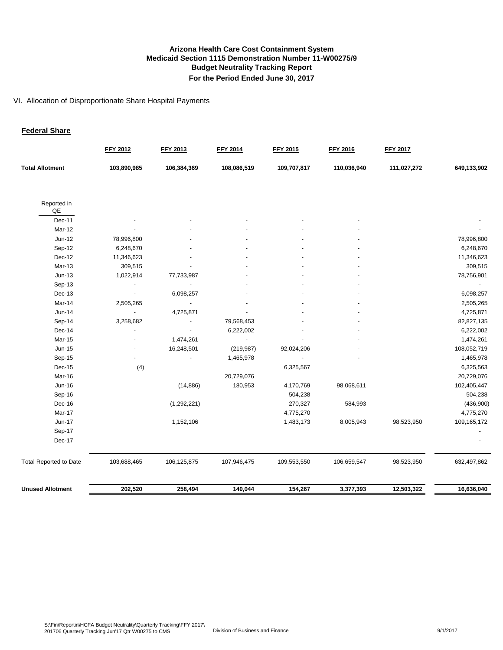#### VI. Allocation of Disproportionate Share Hospital Payments

#### **Federal Share**

|                               | FFY 2012                 | FFY 2013    | <b>FFY 2014</b> | FFY 2015    | <b>FFY 2016</b> | <b>FFY 2017</b> |             |
|-------------------------------|--------------------------|-------------|-----------------|-------------|-----------------|-----------------|-------------|
| <b>Total Allotment</b>        | 103,890,985              | 106,384,369 | 108,086,519     | 109,707,817 | 110,036,940     | 111,027,272     | 649,133,902 |
| Reported in<br>QE             |                          |             |                 |             |                 |                 |             |
| Dec-11                        |                          |             |                 |             |                 |                 |             |
| Mar-12                        |                          |             |                 |             |                 |                 |             |
| Jun-12                        | 78,996,800               |             |                 |             |                 |                 | 78,996,800  |
| Sep-12                        | 6,248,670                |             |                 |             |                 |                 | 6,248,670   |
| Dec-12                        | 11,346,623               |             |                 |             |                 |                 | 11,346,623  |
| Mar-13                        | 309,515                  |             |                 |             |                 |                 | 309,515     |
| $Jun-13$                      | 1,022,914                | 77,733,987  |                 |             |                 |                 | 78,756,901  |
| Sep-13                        |                          |             |                 |             |                 |                 |             |
| Dec-13                        | $\overline{\phantom{a}}$ | 6,098,257   |                 |             |                 |                 | 6,098,257   |
| Mar-14                        | 2,505,265                |             |                 |             |                 |                 | 2,505,265   |
| Jun-14                        |                          | 4,725,871   |                 |             |                 |                 | 4,725,871   |
| Sep-14                        | 3,258,682                |             | 79,568,453      |             |                 |                 | 82,827,135  |
| Dec-14                        |                          |             | 6,222,002       |             |                 |                 | 6,222,002   |
| <b>Mar-15</b>                 |                          | 1,474,261   |                 |             |                 |                 | 1,474,261   |
| Jun-15                        |                          | 16,248,501  | (219, 987)      | 92,024,206  |                 |                 | 108,052,719 |
| Sep-15                        |                          |             | 1,465,978       |             |                 |                 | 1,465,978   |
| Dec-15                        | (4)                      |             |                 | 6,325,567   |                 |                 | 6,325,563   |
| Mar-16                        |                          |             | 20,729,076      |             |                 |                 | 20,729,076  |
| Jun-16                        |                          | (14, 886)   | 180,953         | 4,170,769   | 98,068,611      |                 | 102,405,447 |
| Sep-16                        |                          |             |                 | 504,238     |                 |                 | 504,238     |
| Dec-16                        |                          | (1,292,221) |                 | 270,327     | 584,993         |                 | (436,900)   |
| Mar-17                        |                          |             |                 | 4,775,270   |                 |                 | 4,775,270   |
| Jun-17                        |                          | 1,152,106   |                 | 1,483,173   | 8,005,943       | 98,523,950      | 109,165,172 |
| Sep-17                        |                          |             |                 |             |                 |                 |             |
| Dec-17                        |                          |             |                 |             |                 |                 |             |
| <b>Total Reported to Date</b> | 103,688,465              | 106,125,875 | 107,946,475     | 109,553,550 | 106,659,547     | 98,523,950      | 632,497,862 |
| <b>Unused Allotment</b>       | 202,520                  | 258,494     | 140,044         | 154,267     | 3,377,393       | 12,503,322      | 16,636,040  |